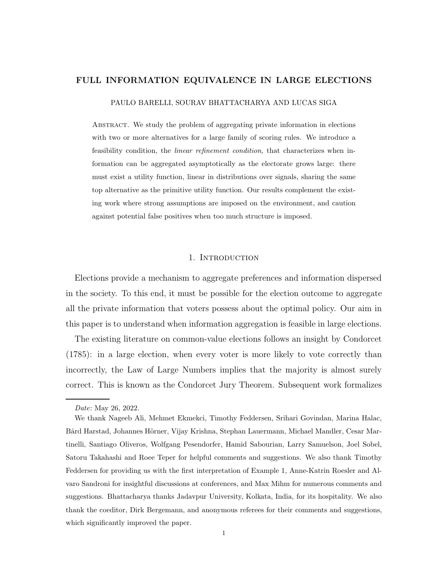# FULL INFORMATION EQUIVALENCE IN LARGE ELECTIONS

PAULO BARELLI, SOURAV BHATTACHARYA AND LUCAS SIGA

Abstract. We study the problem of aggregating private information in elections with two or more alternatives for a large family of scoring rules. We introduce a feasibility condition, the *linear refinement condition*, that characterizes when information can be aggregated asymptotically as the electorate grows large: there must exist a utility function, linear in distributions over signals, sharing the same top alternative as the primitive utility function. Our results complement the existing work where strong assumptions are imposed on the environment, and caution against potential false positives when too much structure is imposed.

# 1. INTRODUCTION

Elections provide a mechanism to aggregate preferences and information dispersed in the society. To this end, it must be possible for the election outcome to aggregate all the private information that voters possess about the optimal policy. Our aim in this paper is to understand when information aggregation is feasible in large elections.

The existing literature on common-value elections follows an insight by Condorcet (1785): in a large election, when every voter is more likely to vote correctly than incorrectly, the Law of Large Numbers implies that the majority is almost surely correct. This is known as the Condorcet Jury Theorem. Subsequent work formalizes

Date: May 26, 2022.

We thank Nageeb Ali, Mehmet Ekmekci, Timothy Feddersen, Srihari Govindan, Marina Halac, Bård Harstad, Johannes Hörner, Vijay Krishna, Stephan Lauermann, Michael Mandler, Cesar Martinelli, Santiago Oliveros, Wolfgang Pesendorfer, Hamid Sabourian, Larry Samuelson, Joel Sobel, Satoru Takahashi and Roee Teper for helpful comments and suggestions. We also thank Timothy Feddersen for providing us with the first interpretation of Example 1, Anne-Katrin Roesler and Alvaro Sandroni for insightful discussions at conferences, and Max Mihm for numerous comments and suggestions. Bhattacharya thanks Jadavpur University, Kolkata, India, for its hospitality. We also thank the coeditor, Dirk Bergemann, and anonymous referees for their comments and suggestions, which significantly improved the paper.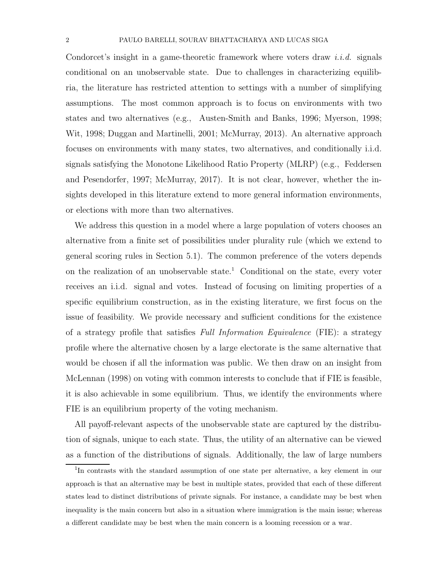Condorcet's insight in a game-theoretic framework where voters draw i.i.d. signals conditional on an unobservable state. Due to challenges in characterizing equilibria, the literature has restricted attention to settings with a number of simplifying assumptions. The most common approach is to focus on environments with two states and two alternatives (e.g., Austen-Smith and Banks, 1996; Myerson, 1998; Wit, 1998; Duggan and Martinelli, 2001; McMurray, 2013). An alternative approach focuses on environments with many states, two alternatives, and conditionally i.i.d. signals satisfying the Monotone Likelihood Ratio Property (MLRP) (e.g., Feddersen and Pesendorfer, 1997; McMurray, 2017). It is not clear, however, whether the insights developed in this literature extend to more general information environments, or elections with more than two alternatives.

We address this question in a model where a large population of voters chooses an alternative from a finite set of possibilities under plurality rule (which we extend to general scoring rules in Section 5.1). The common preference of the voters depends on the realization of an unobservable state.<sup>1</sup> Conditional on the state, every voter receives an i.i.d. signal and votes. Instead of focusing on limiting properties of a specific equilibrium construction, as in the existing literature, we first focus on the issue of feasibility. We provide necessary and sufficient conditions for the existence of a strategy profile that satisfies Full Information Equivalence (FIE): a strategy profile where the alternative chosen by a large electorate is the same alternative that would be chosen if all the information was public. We then draw on an insight from McLennan (1998) on voting with common interests to conclude that if FIE is feasible, it is also achievable in some equilibrium. Thus, we identify the environments where FIE is an equilibrium property of the voting mechanism.

All payoff-relevant aspects of the unobservable state are captured by the distribution of signals, unique to each state. Thus, the utility of an alternative can be viewed as a function of the distributions of signals. Additionally, the law of large numbers

<sup>&</sup>lt;sup>1</sup>In contrasts with the standard assumption of one state per alternative, a key element in our approach is that an alternative may be best in multiple states, provided that each of these different states lead to distinct distributions of private signals. For instance, a candidate may be best when inequality is the main concern but also in a situation where immigration is the main issue; whereas a different candidate may be best when the main concern is a looming recession or a war.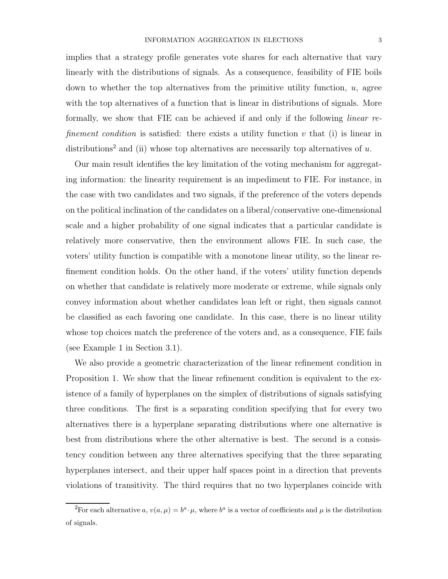implies that a strategy profile generates vote shares for each alternative that vary linearly with the distributions of signals. As a consequence, feasibility of FIE boils down to whether the top alternatives from the primitive utility function,  $u$ , agree with the top alternatives of a function that is linear in distributions of signals. More formally, we show that FIE can be achieved if and only if the following linear refinement condition is satisfied: there exists a utility function  $v$  that (i) is linear in distributions<sup>2</sup> and (ii) whose top alternatives are necessarily top alternatives of  $u$ .

Our main result identifies the key limitation of the voting mechanism for aggregating information: the linearity requirement is an impediment to FIE. For instance, in the case with two candidates and two signals, if the preference of the voters depends on the political inclination of the candidates on a liberal/conservative one-dimensional scale and a higher probability of one signal indicates that a particular candidate is relatively more conservative, then the environment allows FIE. In such case, the voters' utility function is compatible with a monotone linear utility, so the linear refinement condition holds. On the other hand, if the voters' utility function depends on whether that candidate is relatively more moderate or extreme, while signals only convey information about whether candidates lean left or right, then signals cannot be classified as each favoring one candidate. In this case, there is no linear utility whose top choices match the preference of the voters and, as a consequence, FIE fails (see Example 1 in Section 3.1).

We also provide a geometric characterization of the linear refinement condition in Proposition 1. We show that the linear refinement condition is equivalent to the existence of a family of hyperplanes on the simplex of distributions of signals satisfying three conditions. The first is a separating condition specifying that for every two alternatives there is a hyperplane separating distributions where one alternative is best from distributions where the other alternative is best. The second is a consistency condition between any three alternatives specifying that the three separating hyperplanes intersect, and their upper half spaces point in a direction that prevents violations of transitivity. The third requires that no two hyperplanes coincide with

<sup>&</sup>lt;sup>2</sup>For each alternative a,  $v(a,\mu) = b^a \cdot \mu$ , where  $b^a$  is a vector of coefficients and  $\mu$  is the distribution of signals.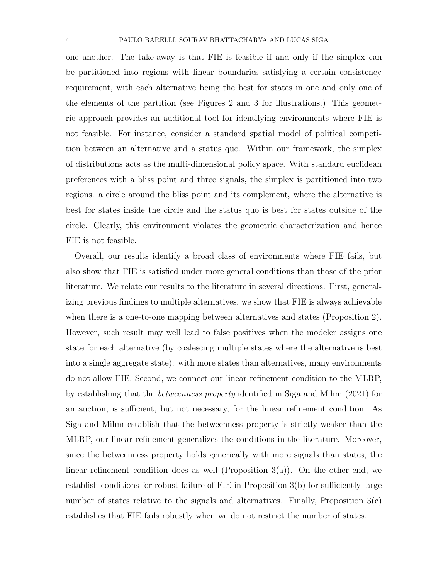one another. The take-away is that FIE is feasible if and only if the simplex can be partitioned into regions with linear boundaries satisfying a certain consistency requirement, with each alternative being the best for states in one and only one of the elements of the partition (see Figures 2 and 3 for illustrations.) This geometric approach provides an additional tool for identifying environments where FIE is not feasible. For instance, consider a standard spatial model of political competition between an alternative and a status quo. Within our framework, the simplex of distributions acts as the multi-dimensional policy space. With standard euclidean preferences with a bliss point and three signals, the simplex is partitioned into two regions: a circle around the bliss point and its complement, where the alternative is best for states inside the circle and the status quo is best for states outside of the circle. Clearly, this environment violates the geometric characterization and hence FIE is not feasible.

Overall, our results identify a broad class of environments where FIE fails, but also show that FIE is satisfied under more general conditions than those of the prior literature. We relate our results to the literature in several directions. First, generalizing previous findings to multiple alternatives, we show that FIE is always achievable when there is a one-to-one mapping between alternatives and states (Proposition 2). However, such result may well lead to false positives when the modeler assigns one state for each alternative (by coalescing multiple states where the alternative is best into a single aggregate state): with more states than alternatives, many environments do not allow FIE. Second, we connect our linear refinement condition to the MLRP, by establishing that the betweenness property identified in Siga and Mihm (2021) for an auction, is sufficient, but not necessary, for the linear refinement condition. As Siga and Mihm establish that the betweenness property is strictly weaker than the MLRP, our linear refinement generalizes the conditions in the literature. Moreover, since the betweenness property holds generically with more signals than states, the linear refinement condition does as well (Proposition  $3(a)$ ). On the other end, we establish conditions for robust failure of FIE in Proposition 3(b) for sufficiently large number of states relative to the signals and alternatives. Finally, Proposition  $3(c)$ establishes that FIE fails robustly when we do not restrict the number of states.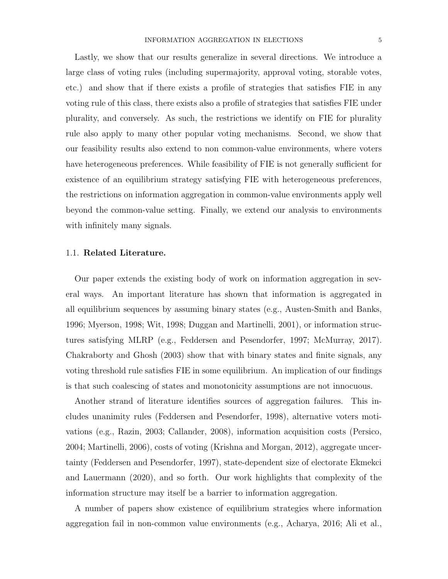Lastly, we show that our results generalize in several directions. We introduce a large class of voting rules (including supermajority, approval voting, storable votes, etc.) and show that if there exists a profile of strategies that satisfies FIE in any voting rule of this class, there exists also a profile of strategies that satisfies FIE under plurality, and conversely. As such, the restrictions we identify on FIE for plurality rule also apply to many other popular voting mechanisms. Second, we show that our feasibility results also extend to non common-value environments, where voters have heterogeneous preferences. While feasibility of FIE is not generally sufficient for existence of an equilibrium strategy satisfying FIE with heterogeneous preferences, the restrictions on information aggregation in common-value environments apply well beyond the common-value setting. Finally, we extend our analysis to environments with infinitely many signals.

# 1.1. Related Literature.

Our paper extends the existing body of work on information aggregation in several ways. An important literature has shown that information is aggregated in all equilibrium sequences by assuming binary states (e.g., Austen-Smith and Banks, 1996; Myerson, 1998; Wit, 1998; Duggan and Martinelli, 2001), or information structures satisfying MLRP (e.g., Feddersen and Pesendorfer, 1997; McMurray, 2017). Chakraborty and Ghosh (2003) show that with binary states and finite signals, any voting threshold rule satisfies FIE in some equilibrium. An implication of our findings is that such coalescing of states and monotonicity assumptions are not innocuous.

Another strand of literature identifies sources of aggregation failures. This includes unanimity rules (Feddersen and Pesendorfer, 1998), alternative voters motivations (e.g., Razin, 2003; Callander, 2008), information acquisition costs (Persico, 2004; Martinelli, 2006), costs of voting (Krishna and Morgan, 2012), aggregate uncertainty (Feddersen and Pesendorfer, 1997), state-dependent size of electorate Ekmekci and Lauermann (2020), and so forth. Our work highlights that complexity of the information structure may itself be a barrier to information aggregation.

A number of papers show existence of equilibrium strategies where information aggregation fail in non-common value environments (e.g., Acharya, 2016; Ali et al.,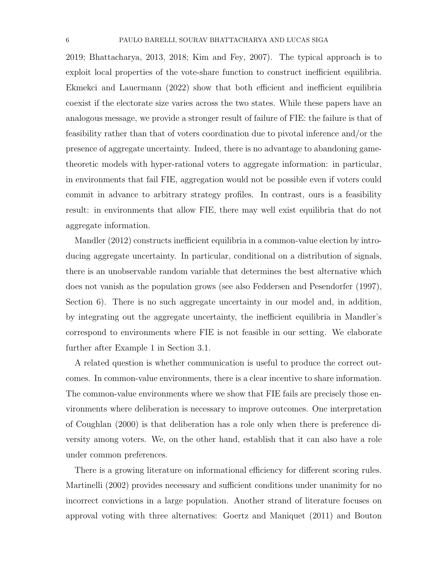2019; Bhattacharya, 2013, 2018; Kim and Fey, 2007). The typical approach is to exploit local properties of the vote-share function to construct inefficient equilibria. Ekmekci and Lauermann (2022) show that both efficient and inefficient equilibria coexist if the electorate size varies across the two states. While these papers have an analogous message, we provide a stronger result of failure of FIE: the failure is that of feasibility rather than that of voters coordination due to pivotal inference and/or the presence of aggregate uncertainty. Indeed, there is no advantage to abandoning gametheoretic models with hyper-rational voters to aggregate information: in particular, in environments that fail FIE, aggregation would not be possible even if voters could commit in advance to arbitrary strategy profiles. In contrast, ours is a feasibility result: in environments that allow FIE, there may well exist equilibria that do not aggregate information.

Mandler (2012) constructs inefficient equilibria in a common-value election by introducing aggregate uncertainty. In particular, conditional on a distribution of signals, there is an unobservable random variable that determines the best alternative which does not vanish as the population grows (see also Feddersen and Pesendorfer (1997), Section 6). There is no such aggregate uncertainty in our model and, in addition, by integrating out the aggregate uncertainty, the inefficient equilibria in Mandler's correspond to environments where FIE is not feasible in our setting. We elaborate further after Example 1 in Section 3.1.

A related question is whether communication is useful to produce the correct outcomes. In common-value environments, there is a clear incentive to share information. The common-value environments where we show that FIE fails are precisely those environments where deliberation is necessary to improve outcomes. One interpretation of Coughlan (2000) is that deliberation has a role only when there is preference diversity among voters. We, on the other hand, establish that it can also have a role under common preferences.

There is a growing literature on informational efficiency for different scoring rules. Martinelli (2002) provides necessary and sufficient conditions under unanimity for no incorrect convictions in a large population. Another strand of literature focuses on approval voting with three alternatives: Goertz and Maniquet (2011) and Bouton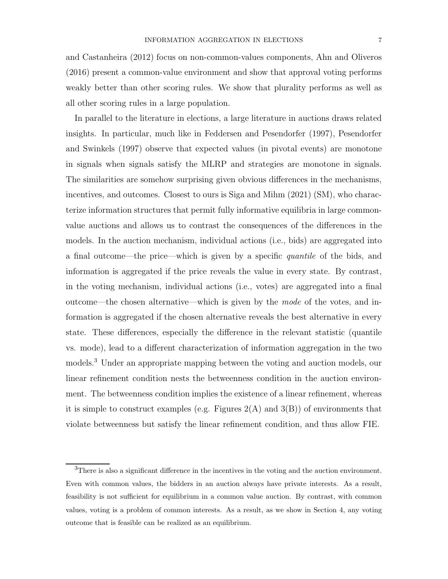and Castanheira (2012) focus on non-common-values components, Ahn and Oliveros (2016) present a common-value environment and show that approval voting performs weakly better than other scoring rules. We show that plurality performs as well as all other scoring rules in a large population.

In parallel to the literature in elections, a large literature in auctions draws related insights. In particular, much like in Feddersen and Pesendorfer (1997), Pesendorfer and Swinkels (1997) observe that expected values (in pivotal events) are monotone in signals when signals satisfy the MLRP and strategies are monotone in signals. The similarities are somehow surprising given obvious differences in the mechanisms, incentives, and outcomes. Closest to ours is Siga and Mihm (2021) (SM), who characterize information structures that permit fully informative equilibria in large commonvalue auctions and allows us to contrast the consequences of the differences in the models. In the auction mechanism, individual actions (i.e., bids) are aggregated into a final outcome—the price—which is given by a specific quantile of the bids, and information is aggregated if the price reveals the value in every state. By contrast, in the voting mechanism, individual actions (i.e., votes) are aggregated into a final outcome—the chosen alternative—which is given by the mode of the votes, and information is aggregated if the chosen alternative reveals the best alternative in every state. These differences, especially the difference in the relevant statistic (quantile vs. mode), lead to a different characterization of information aggregation in the two models.<sup>3</sup> Under an appropriate mapping between the voting and auction models, our linear refinement condition nests the betweenness condition in the auction environment. The betweenness condition implies the existence of a linear refinement, whereas it is simple to construct examples (e.g. Figures  $2(A)$  and  $3(B)$ ) of environments that violate betweenness but satisfy the linear refinement condition, and thus allow FIE.

 $3$ There is also a significant difference in the incentives in the voting and the auction environment. Even with common values, the bidders in an auction always have private interests. As a result, feasibility is not sufficient for equilibrium in a common value auction. By contrast, with common values, voting is a problem of common interests. As a result, as we show in Section 4, any voting outcome that is feasible can be realized as an equilibrium.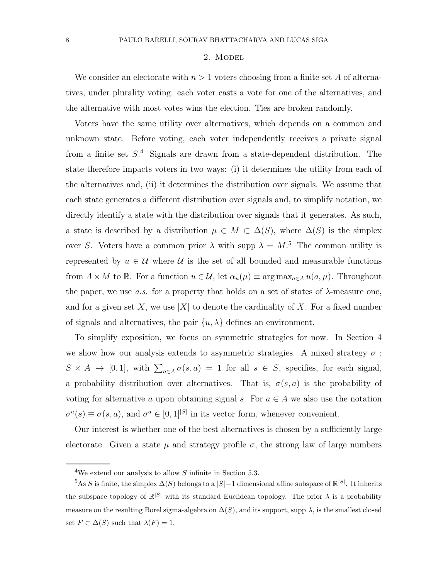#### 2. MODEL

We consider an electorate with  $n > 1$  voters choosing from a finite set A of alternatives, under plurality voting: each voter casts a vote for one of the alternatives, and the alternative with most votes wins the election. Ties are broken randomly.

Voters have the same utility over alternatives, which depends on a common and unknown state. Before voting, each voter independently receives a private signal from a finite set  $S^4$ . Signals are drawn from a state-dependent distribution. The state therefore impacts voters in two ways: (i) it determines the utility from each of the alternatives and, (ii) it determines the distribution over signals. We assume that each state generates a different distribution over signals and, to simplify notation, we directly identify a state with the distribution over signals that it generates. As such, a state is described by a distribution  $\mu \in M \subset \Delta(S)$ , where  $\Delta(S)$  is the simplex over S. Voters have a common prior  $\lambda$  with supp  $\lambda = M$ .<sup>5</sup> The common utility is represented by  $u \in \mathcal{U}$  where  $\mathcal{U}$  is the set of all bounded and measurable functions from  $A \times M$  to R. For a function  $u \in \mathcal{U}$ , let  $\alpha_u(\mu) \equiv \arg \max_{a \in A} u(a, \mu)$ . Throughout the paper, we use a.s. for a property that holds on a set of states of  $\lambda$ -measure one, and for a given set X, we use |X| to denote the cardinality of X. For a fixed number of signals and alternatives, the pair  $\{u, \lambda\}$  defines an environment.

To simplify exposition, we focus on symmetric strategies for now. In Section 4 we show how our analysis extends to asymmetric strategies. A mixed strategy  $\sigma$ :  $S \times A \to [0,1],$  with  $\sum_{a \in A} \sigma(s,a) = 1$  for all  $s \in S$ , specifies, for each signal, a probability distribution over alternatives. That is,  $\sigma(s, a)$  is the probability of voting for alternative a upon obtaining signal s. For  $a \in A$  we also use the notation  $\sigma^a(s) \equiv \sigma(s, a)$ , and  $\sigma^a \in [0, 1]^{|\mathcal{S}|}$  in its vector form, whenever convenient.

Our interest is whether one of the best alternatives is chosen by a sufficiently large electorate. Given a state  $\mu$  and strategy profile  $\sigma$ , the strong law of large numbers

<sup>&</sup>lt;sup>4</sup>We extend our analysis to allow S infinite in Section 5.3.

 $5As S$  is finite, the simplex  $\Delta(S)$  belongs to a  $|S|-1$  dimensional affine subspace of  $\mathbb{R}^{|S|}$ . It inherits the subspace topology of  $\mathbb{R}^{|S|}$  with its standard Euclidean topology. The prior  $\lambda$  is a probability measure on the resulting Borel sigma-algebra on  $\Delta(S)$ , and its support, supp  $\lambda$ , is the smallest closed set  $F \subset \Delta(S)$  such that  $\lambda(F) = 1$ .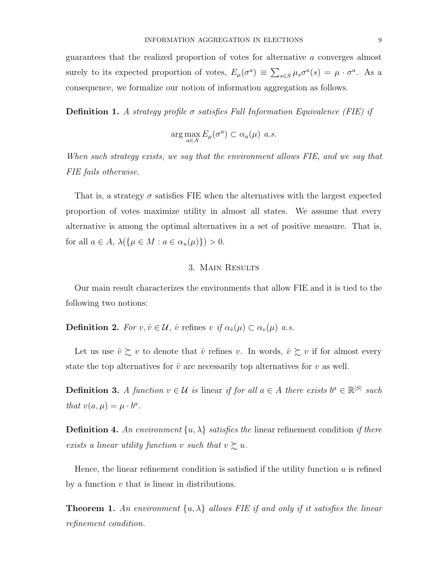guarantees that the realized proportion of votes for alternative a converges almost surely to its expected proportion of votes,  $E_{\mu}(\sigma^a) \equiv \sum_{s \in S} \mu_s \sigma^a(s) = \mu \cdot \sigma^a$ . As a consequence, we formalize our notion of information aggregation as follows.

**Definition 1.** A strategy profile  $\sigma$  satisfies Full Information Equivalence (FIE) if

$$
\arg\max_{a\in A} E_{\mu}(\sigma^a) \subset \alpha_u(\mu) \ \ a.s.
$$

When such strategy exists, we say that the environment allows FIE, and we say that FIE fails otherwise.

That is, a strategy  $\sigma$  satisfies FIE when the alternatives with the largest expected proportion of votes maximize utility in almost all states. We assume that every alternative is among the optimal alternatives in a set of positive measure. That is, for all  $a \in A$ ,  $\lambda(\{\mu \in M : a \in \alpha_u(\mu)\}) > 0$ .

#### 3. Main Results

Our main result characterizes the environments that allow FIE and it is tied to the following two notions:

**Definition 2.** For  $v, \hat{v} \in \mathcal{U}$ ,  $\hat{v}$  refines  $v$  if  $\alpha_{\hat{v}}(\mu) \subset \alpha_{v}(\mu)$  a.s.

Let us use  $\hat{v} \succsim v$  to denote that  $\hat{v}$  refines v. In words,  $\hat{v} \succsim v$  if for almost every state the top alternatives for  $\hat{v}$  are necessarily top alternatives for v as well.

**Definition 3.** A function  $v \in \mathcal{U}$  is linear if for all  $a \in A$  there exists  $b^a \in \mathbb{R}^{|S|}$  such that  $v(a, \mu) = \mu \cdot b^a$ .

**Definition 4.** An environment  $\{u, \lambda\}$  satisfies the linear refinement condition if there exists a linear utility function v such that  $v \gtrsim u$ .

Hence, the linear refinement condition is satisfied if the utility function  $u$  is refined by a function  $v$  that is linear in distributions.

**Theorem 1.** An environment  $\{u, \lambda\}$  allows FIE if and only if it satisfies the linear refinement condition.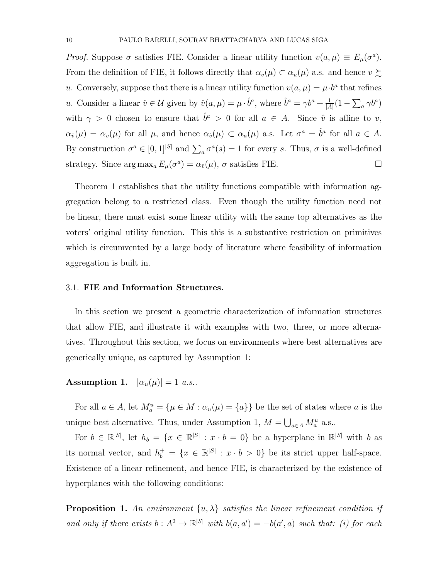Proof. Suppose  $\sigma$  satisfies FIE. Consider a linear utility function  $v(a,\mu) \equiv E_{\mu}(\sigma^a)$ . From the definition of FIE, it follows directly that  $\alpha_v(\mu) \subset \alpha_u(\mu)$  a.s. and hence  $v \gtrsim$ u. Conversely, suppose that there is a linear utility function  $v(a, \mu) = \mu \cdot b^a$  that refines u. Consider a linear  $\hat{v} \in \mathcal{U}$  given by  $\hat{v}(a, \mu) = \mu \cdot \hat{b}^a$ , where  $\hat{b}^a = \gamma b^a + \frac{1}{\mu}$  $\frac{1}{|A|}(1-\sum_a \gamma b^a)$ with  $\gamma > 0$  chosen to ensure that  $\hat{b}^a > 0$  for all  $a \in A$ . Since  $\hat{v}$  is affine to v,  $\alpha_{\hat{v}}(\mu) = \alpha_v(\mu)$  for all  $\mu$ , and hence  $\alpha_{\hat{v}}(\mu) \subset \alpha_u(\mu)$  a.s. Let  $\sigma^a = \hat{b}^a$  for all  $a \in A$ . By construction  $\sigma^a \in [0,1]^{|S|}$  and  $\sum_a \sigma^a(s) = 1$  for every s. Thus,  $\sigma$  is a well-defined strategy. Since  $\arg \max_a E_\mu(\sigma^a) = \alpha_{\hat{v}}(\mu), \sigma$  satisfies FIE.

Theorem 1 establishes that the utility functions compatible with information aggregation belong to a restricted class. Even though the utility function need not be linear, there must exist some linear utility with the same top alternatives as the voters' original utility function. This this is a substantive restriction on primitives which is circumvented by a large body of literature where feasibility of information aggregation is built in.

#### 3.1. FIE and Information Structures.

In this section we present a geometric characterization of information structures that allow FIE, and illustrate it with examples with two, three, or more alternatives. Throughout this section, we focus on environments where best alternatives are generically unique, as captured by Assumption 1:

Assumption 1.  $|\alpha_u(\mu)| = 1$  a.s..

For all  $a \in A$ , let  $M_a^u = {\mu \in M : \alpha_u(\mu) = {a}}$  be the set of states where a is the unique best alternative. Thus, under Assumption 1,  $M = \bigcup_{a \in A} M_a^u$  a.s..

For  $b \in \mathbb{R}^{|S|}$ , let  $h_b = \{x \in \mathbb{R}^{|S|} : x \cdot b = 0\}$  be a hyperplane in  $\mathbb{R}^{|S|}$  with b as its normal vector, and  $h_b^+ = \{x \in \mathbb{R}^{|S|} : x \cdot b > 0\}$  be its strict upper half-space. Existence of a linear refinement, and hence FIE, is characterized by the existence of hyperplanes with the following conditions:

**Proposition 1.** An environment  $\{u, \lambda\}$  satisfies the linear refinement condition if and only if there exists  $b: A^2 \to \mathbb{R}^{|S|}$  with  $b(a, a') = -b(a', a)$  such that: (i) for each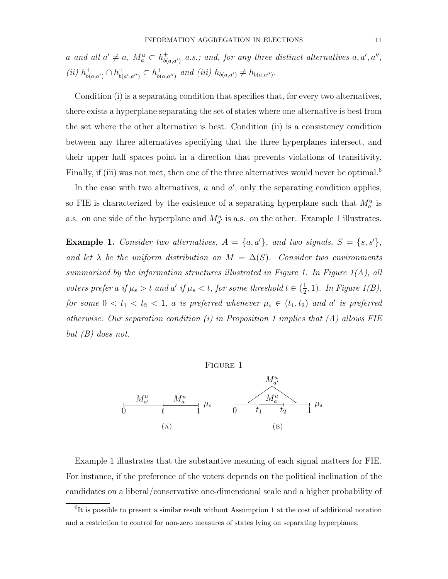a and all  $a' \neq a$ ,  $M_a^u \subset h_{b(a,a')}^+$  a.s.; and, for any three distinct alternatives  $a, a', a'',$ (*ii*)  $h_{b(a,a')}^+ \cap h_{b(b)}^+$  $_{b(a',a'')}^+ \subset h_{b(a,a'')}^+$  and (iii)  $h_{b(a,a')} \neq h_{b(a,a'')}$ .

Condition (i) is a separating condition that specifies that, for every two alternatives, there exists a hyperplane separating the set of states where one alternative is best from the set where the other alternative is best. Condition (ii) is a consistency condition between any three alternatives specifying that the three hyperplanes intersect, and their upper half spaces point in a direction that prevents violations of transitivity. Finally, if (iii) was not met, then one of the three alternatives would never be optimal.<sup>6</sup>

In the case with two alternatives,  $a$  and  $a'$ , only the separating condition applies, so FIE is characterized by the existence of a separating hyperplane such that  $M_a^u$  is a.s. on one side of the hyperplane and  $M_{a'}^u$  is a.s. on the other. Example 1 illustrates.

**Example 1.** Consider two alternatives,  $A = \{a, a'\}$ , and two signals,  $S = \{s, s'\}$ , and let  $\lambda$  be the uniform distribution on  $M = \Delta(S)$ . Consider two environments summarized by the information structures illustrated in Figure 1. In Figure  $1(A)$ , all voters prefer a if  $\mu_s > t$  and a' if  $\mu_s < t$ , for some threshold  $t \in (\frac{1}{2})$  $\frac{1}{2}$ , 1). In Figure 1(B), for some  $0 < t_1 < t_2 < 1$ , a is preferred whenever  $\mu_s \in (t_1, t_2)$  and a' is preferred otherwise. Our separation condition (i) in Proposition 1 implies that  $(A)$  allows FIE but  $(B)$  does not.

Figure 1



Example 1 illustrates that the substantive meaning of each signal matters for FIE. For instance, if the preference of the voters depends on the political inclination of the candidates on a liberal/conservative one-dimensional scale and a higher probability of

<sup>&</sup>lt;sup>6</sup>It is possible to present a similar result without Assumption 1 at the cost of additional notation and a restriction to control for non-zero measures of states lying on separating hyperplanes.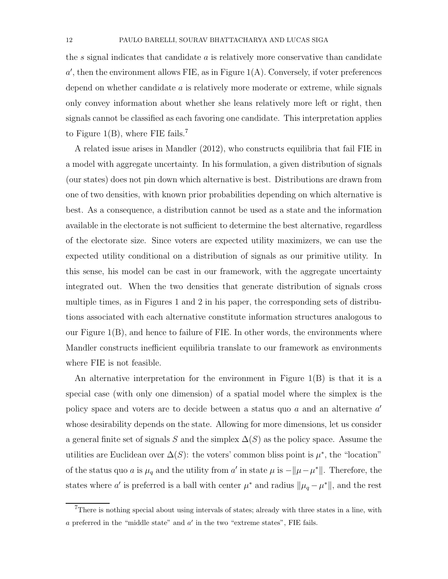the s signal indicates that candidate a is relatively more conservative than candidate  $a'$ , then the environment allows FIE, as in Figure 1(A). Conversely, if voter preferences depend on whether candidate  $a$  is relatively more moderate or extreme, while signals only convey information about whether she leans relatively more left or right, then signals cannot be classified as each favoring one candidate. This interpretation applies to Figure 1(B), where FIE fails.<sup>7</sup>

A related issue arises in Mandler (2012), who constructs equilibria that fail FIE in a model with aggregate uncertainty. In his formulation, a given distribution of signals (our states) does not pin down which alternative is best. Distributions are drawn from one of two densities, with known prior probabilities depending on which alternative is best. As a consequence, a distribution cannot be used as a state and the information available in the electorate is not sufficient to determine the best alternative, regardless of the electorate size. Since voters are expected utility maximizers, we can use the expected utility conditional on a distribution of signals as our primitive utility. In this sense, his model can be cast in our framework, with the aggregate uncertainty integrated out. When the two densities that generate distribution of signals cross multiple times, as in Figures 1 and 2 in his paper, the corresponding sets of distributions associated with each alternative constitute information structures analogous to our Figure  $1(B)$ , and hence to failure of FIE. In other words, the environments where Mandler constructs inefficient equilibria translate to our framework as environments where FIE is not feasible.

An alternative interpretation for the environment in Figure 1(B) is that it is a special case (with only one dimension) of a spatial model where the simplex is the policy space and voters are to decide between a status quo  $a$  and an alternative  $a'$ whose desirability depends on the state. Allowing for more dimensions, let us consider a general finite set of signals S and the simplex  $\Delta(S)$  as the policy space. Assume the utilities are Euclidean over  $\Delta(S)$ : the voters' common bliss point is  $\mu^*$ , the "location" of the status quo a is  $\mu_q$  and the utility from a' in state  $\mu$  is  $-\|\mu - \mu^*\|$ . Therefore, the states where a' is preferred is a ball with center  $\mu^*$  and radius  $\|\mu_q - \mu^*\|$ , and the rest

<sup>&</sup>lt;sup>7</sup>There is nothing special about using intervals of states; already with three states in a line, with  $a$  preferred in the "middle state" and  $a'$  in the two "extreme states", FIE fails.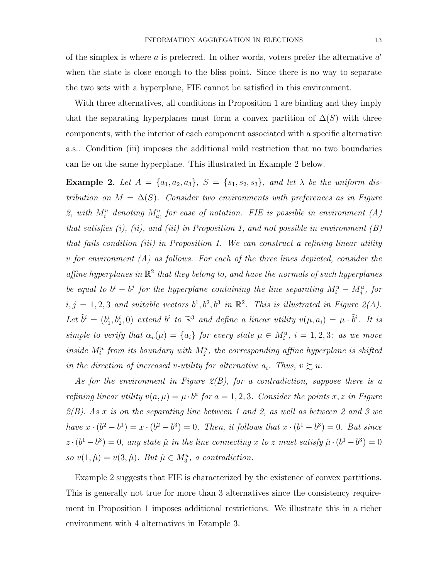of the simplex is where  $a$  is preferred. In other words, voters prefer the alternative  $a'$ when the state is close enough to the bliss point. Since there is no way to separate the two sets with a hyperplane, FIE cannot be satisfied in this environment.

With three alternatives, all conditions in Proposition 1 are binding and they imply that the separating hyperplanes must form a convex partition of  $\Delta(S)$  with three components, with the interior of each component associated with a specific alternative a.s.. Condition (iii) imposes the additional mild restriction that no two boundaries can lie on the same hyperplane. This illustrated in Example 2 below.

Example 2. Let  $A = \{a_1, a_2, a_3\}$ ,  $S = \{s_1, s_2, s_3\}$ , and let  $\lambda$  be the uniform distribution on  $M = \Delta(S)$ . Consider two environments with preferences as in Figure 2, with  $M_i^u$  denoting  $M_{a_i}^u$  for ease of notation. FIE is possible in environment (A) that satisfies  $(i)$ ,  $(ii)$ , and  $(iii)$  in Proposition 1, and not possible in environment  $(B)$ that fails condition (iii) in Proposition 1. We can construct a refining linear utility  $v$  for environment  $(A)$  as follows. For each of the three lines depicted, consider the affine hyperplanes in  $\mathbb{R}^2$  that they belong to, and have the normals of such hyperplanes be equal to  $b^i - b^j$  for the hyperplane containing the line separating  $M_i^u - M_j^u$ , for  $i, j = 1, 2, 3$  and suitable vectors  $b^1, b^2, b^3$  in  $\mathbb{R}^2$ . This is illustrated in Figure 2(A). Let  $\tilde{b}^i = (b_1^i, b_2^i, 0)$  extend  $b^i$  to  $\mathbb{R}^3$  and define a linear utility  $v(\mu, a_i) = \mu \cdot \tilde{b}^i$ . It is simple to verify that  $\alpha_v(\mu) = \{a_i\}$  for every state  $\mu \in M_i^u$ ,  $i = 1, 2, 3$ : as we move inside  $M_i^u$  from its boundary with  $M_j^u$ , the corresponding affine hyperplane is shifted in the direction of increased v-utility for alternative  $a_i$ . Thus,  $v \gtrsim u$ .

As for the environment in Figure  $2(B)$ , for a contradiction, suppose there is a refining linear utility  $v(a,\mu) = \mu \cdot b^a$  for  $a = 1,2,3$ . Consider the points x, z in Figure  $2(B)$ . As x is on the separating line between 1 and 2, as well as between 2 and 3 we have  $x \cdot (b^2 - b^1) = x \cdot (b^2 - b^3) = 0$ . Then, it follows that  $x \cdot (b^1 - b^3) = 0$ . But since  $z \cdot (b^1 - b^3) = 0$ , any state  $\hat{\mu}$  in the line connecting x to z must satisfy  $\hat{\mu} \cdot (b^1 - b^3) = 0$ so  $v(1, \hat{\mu}) = v(3, \hat{\mu})$ . But  $\hat{\mu} \in M_3^u$ , a contradiction.

Example 2 suggests that FIE is characterized by the existence of convex partitions. This is generally not true for more than 3 alternatives since the consistency requirement in Proposition 1 imposes additional restrictions. We illustrate this in a richer environment with 4 alternatives in Example 3.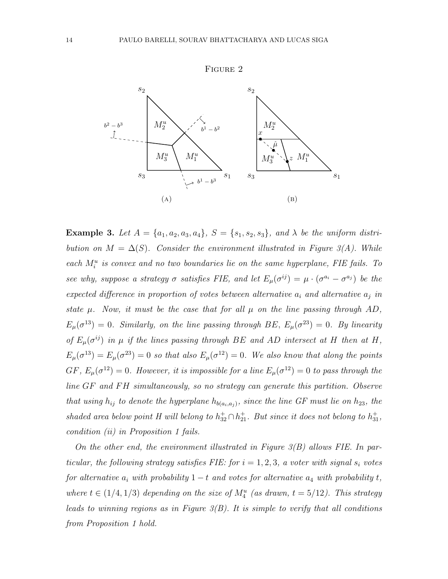

**Example 3.** Let  $A = \{a_1, a_2, a_3, a_4\}$ ,  $S = \{s_1, s_2, s_3\}$ , and  $\lambda$  be the uniform distribution on  $M = \Delta(S)$ . Consider the environment illustrated in Figure 3(A). While each  $M_i^u$  is convex and no two boundaries lie on the same hyperplane, FIE fails. To see why, suppose a strategy  $\sigma$  satisfies FIE, and let  $E_{\mu}(\sigma^{ij}) = \mu \cdot (\sigma^{a_i} - \sigma^{a_j})$  be the expected difference in proportion of votes between alternative  $a_i$  and alternative  $a_j$  in state  $\mu$ . Now, it must be the case that for all  $\mu$  on the line passing through AD,  $E_{\mu}(\sigma^{13}) = 0$ . Similarly, on the line passing through BE,  $E_{\mu}(\sigma^{23}) = 0$ . By linearity of  $E_{\mu}(\sigma^{ij})$  in  $\mu$  if the lines passing through BE and AD intersect at H then at H,  $E_{\mu}(\sigma^{13}) = E_{\mu}(\sigma^{23}) = 0$  so that also  $E_{\mu}(\sigma^{12}) = 0$ . We also know that along the points  $GF, E_{\mu}(\sigma^{12}) = 0$ . However, it is impossible for a line  $E_{\mu}(\sigma^{12}) = 0$  to pass through the line  $GF$  and  $FH$  simultaneously, so no strategy can generate this partition. Observe that using  $h_{ij}$  to denote the hyperplane  $h_{b(a_i,a_j)}$ , since the line GF must lie on  $h_{23}$ , the shaded area below point H will belong to  $h_{32}^{\dagger} \cap h_{21}^{\dagger}$ . But since it does not belong to  $h_{31}^{\dagger}$ , condition (ii) in Proposition 1 fails.

On the other end, the environment illustrated in Figure  $3(B)$  allows FIE. In particular, the following strategy satisfies FIE: for  $i = 1, 2, 3$ , a voter with signal  $s_i$  votes for alternative  $a_i$  with probability  $1 - t$  and votes for alternative  $a_4$  with probability t, where  $t \in (1/4, 1/3)$  depending on the size of  $M_4^u$  (as drawn,  $t = 5/12$ ). This strategy leads to winning regions as in Figure  $3(B)$ . It is simple to verify that all conditions from Proposition 1 hold.

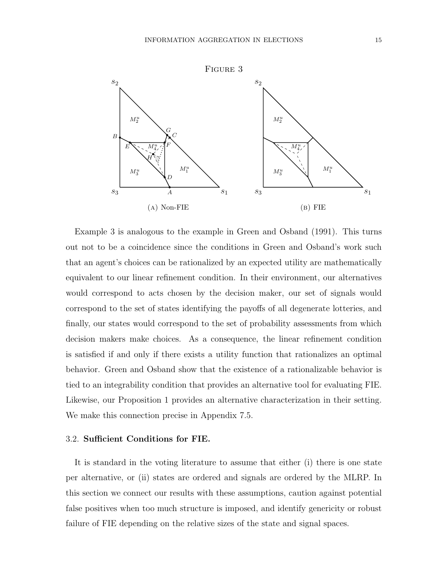

Example 3 is analogous to the example in Green and Osband (1991). This turns out not to be a coincidence since the conditions in Green and Osband's work such that an agent's choices can be rationalized by an expected utility are mathematically equivalent to our linear refinement condition. In their environment, our alternatives would correspond to acts chosen by the decision maker, our set of signals would correspond to the set of states identifying the payoffs of all degenerate lotteries, and finally, our states would correspond to the set of probability assessments from which decision makers make choices. As a consequence, the linear refinement condition is satisfied if and only if there exists a utility function that rationalizes an optimal behavior. Green and Osband show that the existence of a rationalizable behavior is tied to an integrability condition that provides an alternative tool for evaluating FIE. Likewise, our Proposition 1 provides an alternative characterization in their setting. We make this connection precise in Appendix 7.5.

# 3.2. Sufficient Conditions for FIE.

It is standard in the voting literature to assume that either (i) there is one state per alternative, or (ii) states are ordered and signals are ordered by the MLRP. In this section we connect our results with these assumptions, caution against potential false positives when too much structure is imposed, and identify genericity or robust failure of FIE depending on the relative sizes of the state and signal spaces.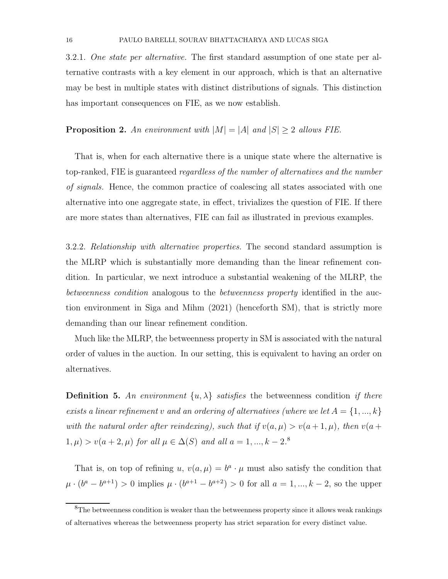3.2.1. One state per alternative. The first standard assumption of one state per alternative contrasts with a key element in our approach, which is that an alternative may be best in multiple states with distinct distributions of signals. This distinction has important consequences on FIE, as we now establish.

**Proposition 2.** An environment with  $|M| = |A|$  and  $|S| \geq 2$  allows FIE.

That is, when for each alternative there is a unique state where the alternative is top-ranked, FIE is guaranteed *regardless of the number of alternatives and the number* of signals. Hence, the common practice of coalescing all states associated with one alternative into one aggregate state, in effect, trivializes the question of FIE. If there are more states than alternatives, FIE can fail as illustrated in previous examples.

3.2.2. Relationship with alternative properties. The second standard assumption is the MLRP which is substantially more demanding than the linear refinement condition. In particular, we next introduce a substantial weakening of the MLRP, the betweenness condition analogous to the *betweenness property* identified in the auction environment in Siga and Mihm (2021) (henceforth SM), that is strictly more demanding than our linear refinement condition.

Much like the MLRP, the betweenness property in SM is associated with the natural order of values in the auction. In our setting, this is equivalent to having an order on alternatives.

**Definition 5.** An environment  $\{u, \lambda\}$  satisfies the betweenness condition if there exists a linear refinement v and an ordering of alternatives (where we let  $A = \{1, ..., k\}$ with the natural order after reindexing), such that if  $v(a, \mu) > v(a+1, \mu)$ , then  $v(a+1, \mu)$  $1, \mu$  >  $v(a + 2, \mu)$  for all  $\mu \in \Delta(S)$  and all  $a = 1, ..., k - 2$ .<sup>8</sup>

That is, on top of refining u,  $v(a,\mu) = b^a \cdot \mu$  must also satisfy the condition that  $\mu \cdot (b^a - b^{a+1}) > 0$  implies  $\mu \cdot (b^{a+1} - b^{a+2}) > 0$  for all  $a = 1, ..., k-2$ , so the upper

<sup>&</sup>lt;sup>8</sup>The betweenness condition is weaker than the betweenness property since it allows weak rankings of alternatives whereas the betweenness property has strict separation for every distinct value.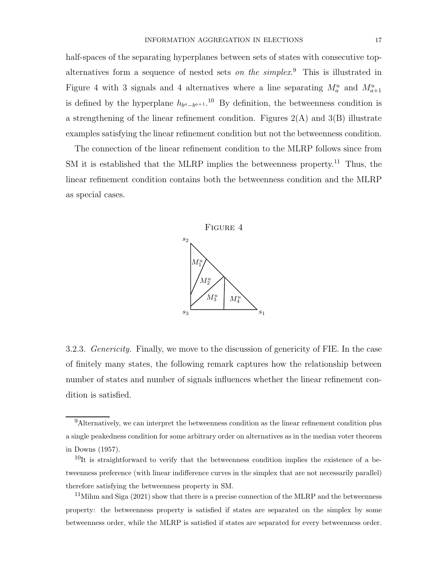half-spaces of the separating hyperplanes between sets of states with consecutive topalternatives form a sequence of nested sets *on the simplex*.<sup>9</sup> This is illustrated in Figure 4 with 3 signals and 4 alternatives where a line separating  $M_a^u$  and  $M_{a+1}^u$ is defined by the hyperplane  $h_{b^a-b^{a+1}}$ .<sup>10</sup> By definition, the betweenness condition is a strengthening of the linear refinement condition. Figures  $2(A)$  and  $3(B)$  illustrate examples satisfying the linear refinement condition but not the betweenness condition.

The connection of the linear refinement condition to the MLRP follows since from SM it is established that the MLRP implies the betweenness property.<sup>11</sup> Thus, the linear refinement condition contains both the betweenness condition and the MLRP as special cases.



3.2.3. *Genericity*. Finally, we move to the discussion of genericity of FIE. In the case of finitely many states, the following remark captures how the relationship between number of states and number of signals influences whether the linear refinement condition is satisfied.

 $11$ Mihm and Siga (2021) show that there is a precise connection of the MLRP and the betweenness property: the betweenness property is satisfied if states are separated on the simplex by some betweenness order, while the MLRP is satisfied if states are separated for every betweenness order.

 $9$ Alternatively, we can interpret the betweenness condition as the linear refinement condition plus a single peakedness condition for some arbitrary order on alternatives as in the median voter theorem in Downs (1957).

 $10$ It is straightforward to verify that the betweenness condition implies the existence of a betweenness preference (with linear indifference curves in the simplex that are not necessarily parallel) therefore satisfying the betweenness property in SM.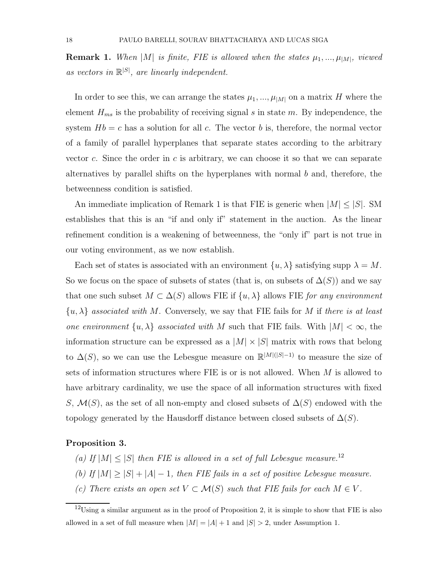**Remark 1.** When  $|M|$  is finite, FIE is allowed when the states  $\mu_1, ..., \mu_{|M|}$ , viewed as vectors in  $\mathbb{R}^{|S|}$ , are linearly independent.

In order to see this, we can arrange the states  $\mu_1, ..., \mu_{|M|}$  on a matrix H where the element  $H_{ms}$  is the probability of receiving signal s in state m. By independence, the system  $Hb = c$  has a solution for all c. The vector b is, therefore, the normal vector of a family of parallel hyperplanes that separate states according to the arbitrary vector c. Since the order in  $c$  is arbitrary, we can choose it so that we can separate alternatives by parallel shifts on the hyperplanes with normal b and, therefore, the betweenness condition is satisfied.

An immediate implication of Remark 1 is that FIE is generic when  $|M| \leq |S|$ . SM establishes that this is an "if and only if" statement in the auction. As the linear refinement condition is a weakening of betweenness, the "only if" part is not true in our voting environment, as we now establish.

Each set of states is associated with an environment  $\{u, \lambda\}$  satisfying supp  $\lambda = M$ . So we focus on the space of subsets of states (that is, on subsets of  $\Delta(S)$ ) and we say that one such subset  $M \subset \Delta(S)$  allows FIE if  $\{u, \lambda\}$  allows FIE for any environment  $\{u, \lambda\}$  associated with M. Conversely, we say that FIE fails for M if there is at least one environment  $\{u, \lambda\}$  associated with M such that FIE fails. With  $|M| < \infty$ , the information structure can be expressed as a  $|M| \times |S|$  matrix with rows that belong to  $\Delta(S)$ , so we can use the Lebesgue measure on  $\mathbb{R}^{|M|(|S|-1)}$  to measure the size of sets of information structures where FIE is or is not allowed. When  $M$  is allowed to have arbitrary cardinality, we use the space of all information structures with fixed S,  $\mathcal{M}(S)$ , as the set of all non-empty and closed subsets of  $\Delta(S)$  endowed with the topology generated by the Hausdorff distance between closed subsets of  $\Delta(S)$ .

#### Proposition 3.

- (a) If  $|M| \leq |S|$  then FIE is allowed in a set of full Lebesgue measure.<sup>12</sup>
- (b) If  $|M| \geq |S| + |A| 1$ , then FIE fails in a set of positive Lebesgue measure.
- (c) There exists an open set  $V \subset \mathcal{M}(S)$  such that FIE fails for each  $M \in V$ .

 $12$ Using a similar argument as in the proof of Proposition 2, it is simple to show that FIE is also allowed in a set of full measure when  $|M| = |A| + 1$  and  $|S| > 2$ , under Assumption 1.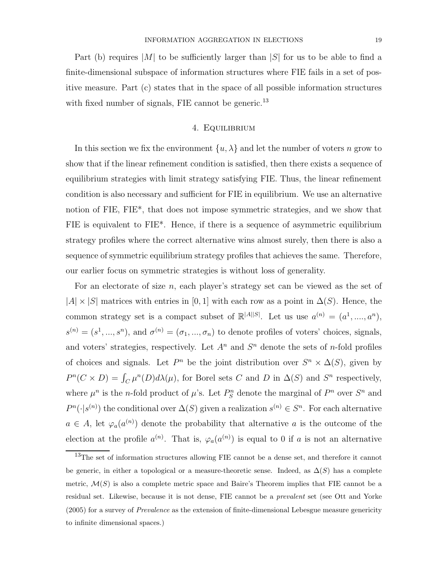Part (b) requires  $|M|$  to be sufficiently larger than  $|S|$  for us to be able to find a finite-dimensional subspace of information structures where FIE fails in a set of positive measure. Part (c) states that in the space of all possible information structures with fixed number of signals, FIE cannot be generic.<sup>13</sup>

# 4. Equilibrium

In this section we fix the environment  $\{u, \lambda\}$  and let the number of voters n grow to show that if the linear refinement condition is satisfied, then there exists a sequence of equilibrium strategies with limit strategy satisfying FIE. Thus, the linear refinement condition is also necessary and sufficient for FIE in equilibrium. We use an alternative notion of FIE, FIE\*, that does not impose symmetric strategies, and we show that FIE is equivalent to FIE\*. Hence, if there is a sequence of asymmetric equilibrium strategy profiles where the correct alternative wins almost surely, then there is also a sequence of symmetric equilibrium strategy profiles that achieves the same. Therefore, our earlier focus on symmetric strategies is without loss of generality.

For an electorate of size n, each player's strategy set can be viewed as the set of  $|A| \times |S|$  matrices with entries in [0, 1] with each row as a point in  $\Delta(S)$ . Hence, the common strategy set is a compact subset of  $\mathbb{R}^{|A||S|}$ . Let us use  $a^{(n)} = (a^1, ..., a^n)$ ,  $s^{(n)} = (s^1, ..., s^n)$ , and  $\sigma^{(n)} = (\sigma_1, ..., \sigma_n)$  to denote profiles of voters' choices, signals, and voters' strategies, respectively. Let  $A<sup>n</sup>$  and  $S<sup>n</sup>$  denote the sets of *n*-fold profiles of choices and signals. Let  $P^n$  be the joint distribution over  $S^n \times \Delta(S)$ , given by  $P^{n}(C \times D) = \int_{C} \mu^{n}(D) d\lambda(\mu)$ , for Borel sets C and D in  $\Delta(S)$  and S<sup>n</sup> respectively, where  $\mu^n$  is the *n*-fold product of  $\mu$ 's. Let  $P_S^n$  denote the marginal of  $P^n$  over  $S^n$  and  $P^{n}(\cdot|s^{(n)})$  the conditional over  $\Delta(S)$  given a realization  $s^{(n)} \in S^n$ . For each alternative  $a \in A$ , let  $\varphi_a(a^{(n)})$  denote the probability that alternative a is the outcome of the election at the profile  $a^{(n)}$ . That is,  $\varphi_a(a^{(n)})$  is equal to 0 if a is not an alternative

<sup>&</sup>lt;sup>13</sup>The set of information structures allowing FIE cannot be a dense set, and therefore it cannot be generic, in either a topological or a measure-theoretic sense. Indeed, as  $\Delta(S)$  has a complete metric,  $\mathcal{M}(S)$  is also a complete metric space and Baire's Theorem implies that FIE cannot be a residual set. Likewise, because it is not dense, FIE cannot be a prevalent set (see Ott and Yorke (2005) for a survey of Prevalence as the extension of finite-dimensional Lebesgue measure genericity to infinite dimensional spaces.)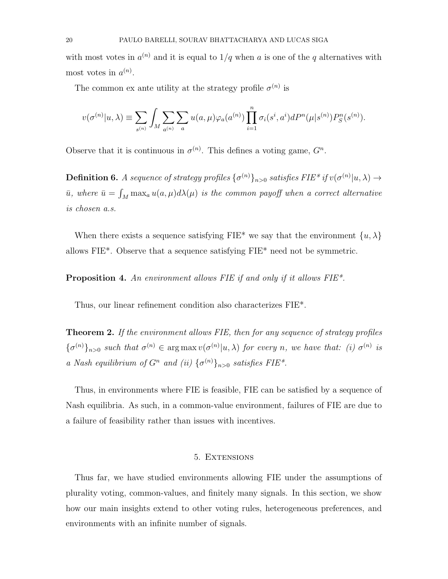with most votes in  $a^{(n)}$  and it is equal to  $1/q$  when a is one of the q alternatives with most votes in  $a^{(n)}$ .

The common ex ante utility at the strategy profile  $\sigma^{(n)}$  is

$$
v(\sigma^{(n)}|u,\lambda) \equiv \sum_{s^{(n)}} \int_M \sum_{a^{(n)}} \sum_a u(a,\mu) \varphi_a(a^{(n)}) \prod_{i=1}^n \sigma_i(s^i,a^i) dP^n(\mu|s^{(n)}) P^n_S(s^{(n)}).
$$

Observe that it is continuous in  $\sigma^{(n)}$ . This defines a voting game,  $G^n$ .

**Definition 6.** A sequence of strategy profiles  $\{\sigma^{(n)}\}_{n>0}$  satisfies FIE\* if  $v(\sigma^{(n)}|u,\lambda) \to$  $\bar{u}$ , where  $\bar{u} = \int_M \max_a u(a,\mu) d\lambda(\mu)$  is the common payoff when a correct alternative is chosen a.s.

When there exists a sequence satisfying FIE\* we say that the environment  $\{u, \lambda\}$ allows FIE\*. Observe that a sequence satisfying FIE\* need not be symmetric.

Proposition 4. An environment allows FIE if and only if it allows FIE\*.

Thus, our linear refinement condition also characterizes FIE\*.

Theorem 2. If the environment allows FIE, then for any sequence of strategy profiles  $\{\sigma^{(n)}\}_{n>0}$  such that  $\sigma^{(n)} \in \arg \max v(\sigma^{(n)}|u,\lambda)$  for every n, we have that: (i)  $\sigma^{(n)}$  is a Nash equilibrium of  $G^n$  and (ii)  $\{\sigma^{(n)}\}_{n>0}$  satisfies FIE\*.

Thus, in environments where FIE is feasible, FIE can be satisfied by a sequence of Nash equilibria. As such, in a common-value environment, failures of FIE are due to a failure of feasibility rather than issues with incentives.

### 5. Extensions

Thus far, we have studied environments allowing FIE under the assumptions of plurality voting, common-values, and finitely many signals. In this section, we show how our main insights extend to other voting rules, heterogeneous preferences, and environments with an infinite number of signals.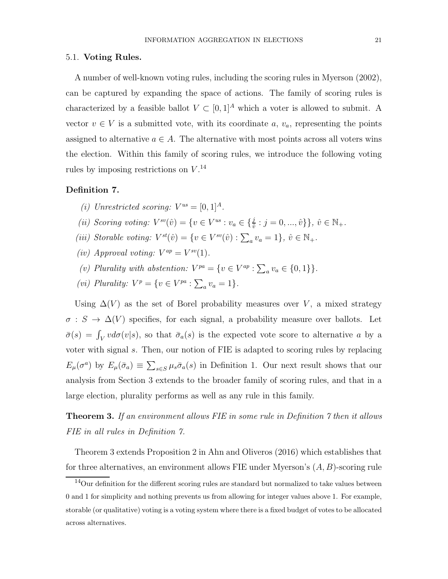#### 5.1. Voting Rules.

A number of well-known voting rules, including the scoring rules in Myerson (2002), can be captured by expanding the space of actions. The family of scoring rules is characterized by a feasible ballot  $V\subset [0,1]^A$  which a voter is allowed to submit. A vector  $v \in V$  is a submitted vote, with its coordinate  $a, v_a$ , representing the points assigned to alternative  $a \in A$ . The alternative with most points across all voters wins the election. Within this family of scoring rules, we introduce the following voting rules by imposing restrictions on  $V^{14}$ 

# Definition 7.

- (i) Unrestricted scoring:  $V^{us} = [0, 1]^A$ .
- (ii) Scoring voting:  $V^{sv}(\hat{v}) = \{v \in V^{us} : v_a \in \{\frac{j}{\hat{v}} : j = 0, ..., \hat{v}\}\}\,$ ,  $\hat{v} \in \mathbb{N}_+$ .
- (iii) Storable voting:  $V^{st}(\hat{v}) = \{v \in V^{sv}(\hat{v}) : \sum_a v_a = 1\}, \hat{v} \in \mathbb{N}_+.$
- (iv) Approval voting:  $V^{ap} = V^{sv}(1)$ .
- (v) Plurality with abstention:  $V^{pa} = \{v \in V^{ap} : \sum_a v_a \in \{0, 1\}\}.$
- (*vi*) Plurality:  $V^p = \{v \in V^{pa} : \sum_a v_a = 1\}.$

Using  $\Delta(V)$  as the set of Borel probability measures over V, a mixed strategy  $\sigma : S \to \Delta(V)$  specifies, for each signal, a probability measure over ballots. Let  $\bar{\sigma}(s) = \int_V v d\sigma(v|s)$ , so that  $\bar{\sigma}_a(s)$  is the expected vote score to alternative a by a voter with signal s. Then, our notion of FIE is adapted to scoring rules by replacing  $E_{\mu}(\sigma^a)$  by  $E_{\mu}(\bar{\sigma}_a) \equiv \sum_{s \in S} \mu_s \bar{\sigma}_a(s)$  in Definition 1. Our next result shows that our analysis from Section 3 extends to the broader family of scoring rules, and that in a large election, plurality performs as well as any rule in this family.

# **Theorem 3.** If an environment allows FIE in some rule in Definition  $\gamma$  then it allows FIE in all rules in Definition 7.

Theorem 3 extends Proposition 2 in Ahn and Oliveros (2016) which establishes that for three alternatives, an environment allows FIE under Myerson's  $(A, B)$ -scoring rule

<sup>&</sup>lt;sup>14</sup>Our definition for the different scoring rules are standard but normalized to take values between 0 and 1 for simplicity and nothing prevents us from allowing for integer values above 1. For example, storable (or qualitative) voting is a voting system where there is a fixed budget of votes to be allocated across alternatives.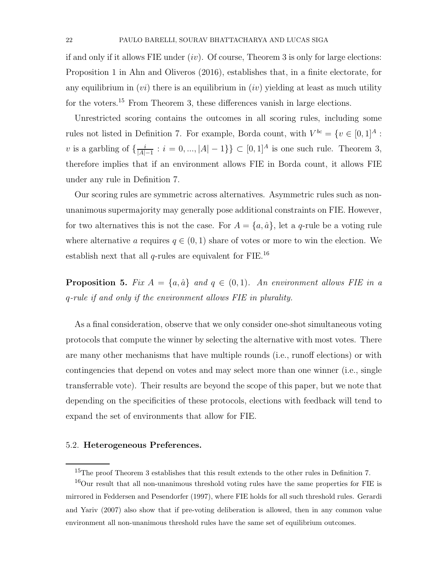if and only if it allows FIE under  $(iv)$ . Of course, Theorem 3 is only for large elections: Proposition 1 in Ahn and Oliveros (2016), establishes that, in a finite electorate, for any equilibrium in  $(vi)$  there is an equilibrium in  $(iv)$  yielding at least as much utility for the voters.<sup>15</sup> From Theorem 3, these differences vanish in large elections.

Unrestricted scoring contains the outcomes in all scoring rules, including some rules not listed in Definition 7. For example, Borda count, with  $V^{bc} = \{v \in [0,1]^A :$ v is a garbling of  $\{\frac{i}{|A|}\}$  $\frac{i}{|A|-1}$ :  $i = 0, ..., |A|-1$ }  $\subset [0,1]^A$  is one such rule. Theorem 3, therefore implies that if an environment allows FIE in Borda count, it allows FIE under any rule in Definition 7.

Our scoring rules are symmetric across alternatives. Asymmetric rules such as nonunanimous supermajority may generally pose additional constraints on FIE. However, for two alternatives this is not the case. For  $A = \{a, \hat{a}\}\,$ , let a q-rule be a voting rule where alternative a requires  $q \in (0,1)$  share of votes or more to win the election. We establish next that all  $q$ -rules are equivalent for FIE.<sup>16</sup>

**Proposition 5.** Fix  $A = \{a, \hat{a}\}\$ and  $q \in (0, 1)$ . An environment allows FIE in a q-rule if and only if the environment allows FIE in plurality.

As a final consideration, observe that we only consider one-shot simultaneous voting protocols that compute the winner by selecting the alternative with most votes. There are many other mechanisms that have multiple rounds (i.e., runoff elections) or with contingencies that depend on votes and may select more than one winner (i.e., single transferrable vote). Their results are beyond the scope of this paper, but we note that depending on the specificities of these protocols, elections with feedback will tend to expand the set of environments that allow for FIE.

#### 5.2. Heterogeneous Preferences.

<sup>&</sup>lt;sup>15</sup>The proof Theorem 3 establishes that this result extends to the other rules in Definition 7.

<sup>&</sup>lt;sup>16</sup>Our result that all non-unanimous threshold voting rules have the same properties for FIE is mirrored in Feddersen and Pesendorfer (1997), where FIE holds for all such threshold rules. Gerardi and Yariv (2007) also show that if pre-voting deliberation is allowed, then in any common value environment all non-unanimous threshold rules have the same set of equilibrium outcomes.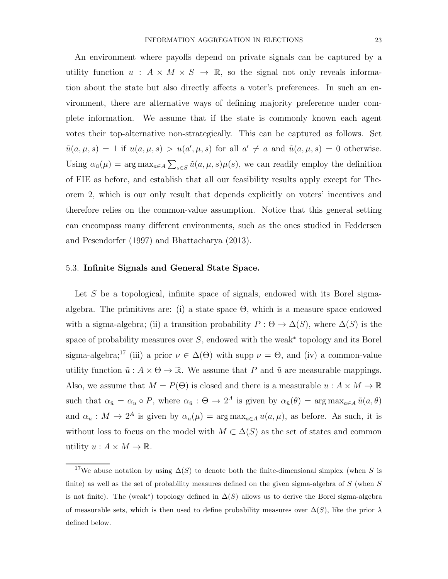An environment where payoffs depend on private signals can be captured by a utility function  $u : A \times M \times S \rightarrow \mathbb{R}$ , so the signal not only reveals information about the state but also directly affects a voter's preferences. In such an environment, there are alternative ways of defining majority preference under complete information. We assume that if the state is commonly known each agent votes their top-alternative non-strategically. This can be captured as follows. Set  $\tilde{u}(a,\mu,s) = 1$  if  $u(a,\mu,s) > u(a',\mu,s)$  for all  $a' \neq a$  and  $\tilde{u}(a,\mu,s) = 0$  otherwise. Using  $\alpha_{\tilde{u}}(\mu) = \arg \max_{a \in A} \sum_{s \in S} \tilde{u}(a, \mu, s) \mu(s)$ , we can readily employ the definition of FIE as before, and establish that all our feasibility results apply except for Theorem 2, which is our only result that depends explicitly on voters' incentives and therefore relies on the common-value assumption. Notice that this general setting can encompass many different environments, such as the ones studied in Feddersen and Pesendorfer (1997) and Bhattacharya (2013).

#### 5.3. Infinite Signals and General State Space.

Let S be a topological, infinite space of signals, endowed with its Borel sigmaalgebra. The primitives are: (i) a state space  $\Theta$ , which is a measure space endowed with a sigma-algebra; (ii) a transition probability  $P : \Theta \to \Delta(S)$ , where  $\Delta(S)$  is the space of probability measures over  $S$ , endowed with the weak<sup>\*</sup> topology and its Borel sigma-algebra;<sup>17</sup> (iii) a prior  $\nu \in \Delta(\Theta)$  with supp  $\nu = \Theta$ , and (iv) a common-value utility function  $\tilde{u}: A \times \Theta \to \mathbb{R}$ . We assume that P and  $\tilde{u}$  are measurable mappings. Also, we assume that  $M = P(\Theta)$  is closed and there is a measurable  $u : A \times M \to \mathbb{R}$ such that  $\alpha_{\tilde{u}} = \alpha_u \circ P$ , where  $\alpha_{\tilde{u}} : \Theta \to 2^A$  is given by  $\alpha_{\tilde{u}}(\theta) = \arg \max_{a \in A} \tilde{u}(a, \theta)$ and  $\alpha_u : M \to 2^A$  is given by  $\alpha_u(\mu) = \arg \max_{a \in A} u(a, \mu)$ , as before. As such, it is without loss to focus on the model with  $M \subset \Delta(S)$  as the set of states and common utility  $u : A \times M \to \mathbb{R}$ .

<sup>&</sup>lt;sup>17</sup>We abuse notation by using  $\Delta(S)$  to denote both the finite-dimensional simplex (when S is finite) as well as the set of probability measures defined on the given sigma-algebra of  $S$  (when  $S$ is not finite). The (weak<sup>\*</sup>) topology defined in  $\Delta(S)$  allows us to derive the Borel sigma-algebra of measurable sets, which is then used to define probability measures over  $\Delta(S)$ , like the prior  $\lambda$ defined below.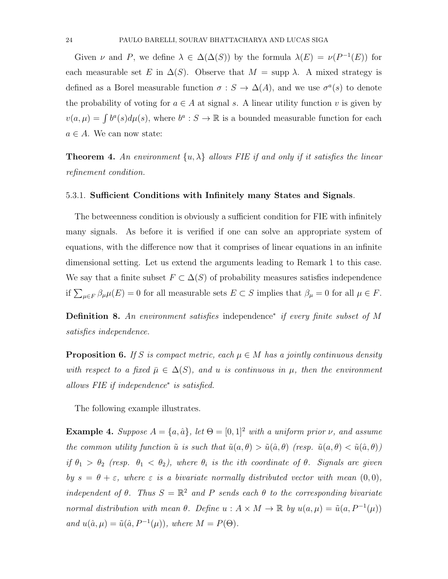Given  $\nu$  and P, we define  $\lambda \in \Delta(\Delta(S))$  by the formula  $\lambda(E) = \nu(P^{-1}(E))$  for each measurable set E in  $\Delta(S)$ . Observe that  $M = \text{supp }\lambda$ . A mixed strategy is defined as a Borel measurable function  $\sigma : S \to \Delta(A)$ , and we use  $\sigma^a(s)$  to denote the probability of voting for  $a \in A$  at signal s. A linear utility function v is given by  $v(a,\mu) = \int b^a(s) d\mu(s)$ , where  $b^a : S \to \mathbb{R}$  is a bounded measurable function for each  $a \in A$ . We can now state:

**Theorem 4.** An environment  $\{u, \lambda\}$  allows FIE if and only if it satisfies the linear refinement condition.

#### 5.3.1. Sufficient Conditions with Infinitely many States and Signals.

The betweenness condition is obviously a sufficient condition for FIE with infinitely many signals. As before it is verified if one can solve an appropriate system of equations, with the difference now that it comprises of linear equations in an infinite dimensional setting. Let us extend the arguments leading to Remark 1 to this case. We say that a finite subset  $F \subset \Delta(S)$  of probability measures satisfies independence if  $\sum_{\mu \in F} \beta_{\mu} \mu(E) = 0$  for all measurable sets  $E \subset S$  implies that  $\beta_{\mu} = 0$  for all  $\mu \in F$ .

Definition 8. An environment satisfies independence<sup>\*</sup> if every finite subset of M satisfies independence.

**Proposition 6.** If S is compact metric, each  $\mu \in M$  has a jointly continuous density with respect to a fixed  $\bar{\mu} \in \Delta(S)$ , and u is continuous in  $\mu$ , then the environment allows FIE if independence<sup>∗</sup> is satisfied.

The following example illustrates.

**Example 4.** Suppose  $A = \{a, \hat{a}\}\$ , let  $\Theta = [0, 1]^2$  with a uniform prior  $\nu$ , and assume the common utility function  $\tilde{u}$  is such that  $\tilde{u}(a, \theta) > \tilde{u}(\hat{a}, \theta)$  (resp.  $\tilde{u}(a, \theta) < \tilde{u}(\hat{a}, \theta)$ ) if  $\theta_1 > \theta_2$  (resp.  $\theta_1 < \theta_2$ ), where  $\theta_i$  is the ith coordinate of  $\theta$ . Signals are given by  $s = \theta + \varepsilon$ , where  $\varepsilon$  is a bivariate normally distributed vector with mean  $(0, 0)$ , independent of  $\theta$ . Thus  $S = \mathbb{R}^2$  and P sends each  $\theta$  to the corresponding bivariate normal distribution with mean  $\theta$ . Define  $u : A \times M \to \mathbb{R}$  by  $u(a, \mu) = \tilde{u}(a, P^{-1}(\mu))$ and  $u(\hat{a}, \mu) = \tilde{u}(\hat{a}, P^{-1}(\mu))$ , where  $M = P(\Theta)$ .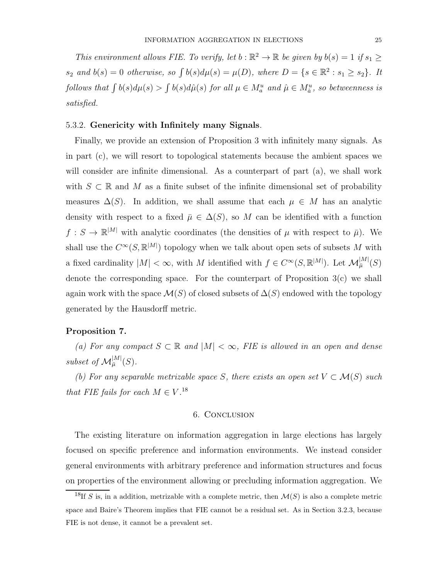This environment allows FIE. To verify, let  $b : \mathbb{R}^2 \to \mathbb{R}$  be given by  $b(s) = 1$  if  $s_1 \geq$  $s_2$  and  $b(s) = 0$  otherwise, so  $\int b(s)d\mu(s) = \mu(D)$ , where  $D = \{s \in \mathbb{R}^2 : s_1 \geq s_2\}$ . It follows that  $\int b(s)d\mu(s) > \int b(s)d\hat{\mu}(s)$  for all  $\mu \in M_a^u$  and  $\hat{\mu} \in M_a^u$ , so betweenness is satisfied.

## 5.3.2. Genericity with Infinitely many Signals.

Finally, we provide an extension of Proposition 3 with infinitely many signals. As in part (c), we will resort to topological statements because the ambient spaces we will consider are infinite dimensional. As a counterpart of part (a), we shall work with  $S \subset \mathbb{R}$  and M as a finite subset of the infinite dimensional set of probability measures  $\Delta(S)$ . In addition, we shall assume that each  $\mu \in M$  has an analytic density with respect to a fixed  $\bar{\mu} \in \Delta(S)$ , so M can be identified with a function  $f: S \to \mathbb{R}^{|M|}$  with analytic coordinates (the densities of  $\mu$  with respect to  $\bar{\mu}$ ). We shall use the  $C^{\infty}(S, \mathbb{R}^{|M|})$  topology when we talk about open sets of subsets M with a fixed cardinality  $|M| < \infty$ , with M identified with  $f \in C^{\infty}(S, \mathbb{R}^{|M|})$ . Let  $\mathcal{M}_{\overline{\mu}}^{|M|}(S)$ denote the corresponding space. For the counterpart of Proposition 3(c) we shall again work with the space  $\mathcal{M}(S)$  of closed subsets of  $\Delta(S)$  endowed with the topology generated by the Hausdorff metric.

# Proposition 7.

(a) For any compact  $S \subset \mathbb{R}$  and  $|M| < \infty$ , FIE is allowed in an open and dense subset of  $\mathcal{M}_{\bar{\mu}}^{|M|}(S)$ .

(b) For any separable metrizable space S, there exists an open set  $V \subset \mathcal{M}(S)$  such that FIE fails for each  $M \in V$ .<sup>18</sup>

## 6. Conclusion

The existing literature on information aggregation in large elections has largely focused on specific preference and information environments. We instead consider general environments with arbitrary preference and information structures and focus on properties of the environment allowing or precluding information aggregation. We

<sup>&</sup>lt;sup>18</sup>If S is, in a addition, metrizable with a complete metric, then  $\mathcal{M}(S)$  is also a complete metric space and Baire's Theorem implies that FIE cannot be a residual set. As in Section 3.2.3, because FIE is not dense, it cannot be a prevalent set.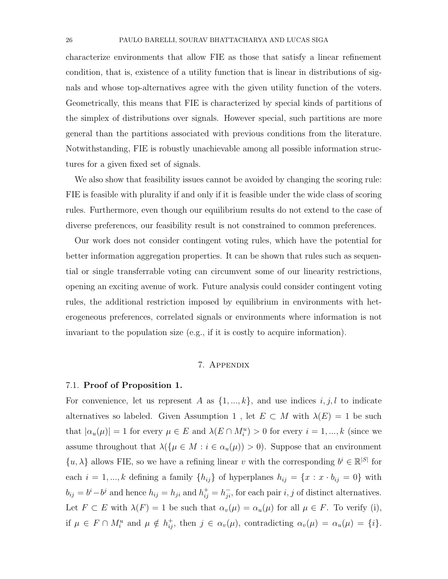characterize environments that allow FIE as those that satisfy a linear refinement condition, that is, existence of a utility function that is linear in distributions of signals and whose top-alternatives agree with the given utility function of the voters. Geometrically, this means that FIE is characterized by special kinds of partitions of the simplex of distributions over signals. However special, such partitions are more general than the partitions associated with previous conditions from the literature. Notwithstanding, FIE is robustly unachievable among all possible information structures for a given fixed set of signals.

We also show that feasibility issues cannot be avoided by changing the scoring rule: FIE is feasible with plurality if and only if it is feasible under the wide class of scoring rules. Furthermore, even though our equilibrium results do not extend to the case of diverse preferences, our feasibility result is not constrained to common preferences.

Our work does not consider contingent voting rules, which have the potential for better information aggregation properties. It can be shown that rules such as sequential or single transferrable voting can circumvent some of our linearity restrictions, opening an exciting avenue of work. Future analysis could consider contingent voting rules, the additional restriction imposed by equilibrium in environments with heterogeneous preferences, correlated signals or environments where information is not invariant to the population size (e.g., if it is costly to acquire information).

#### 7. Appendix

## 7.1. Proof of Proposition 1.

For convenience, let us represent A as  $\{1, ..., k\}$ , and use indices  $i, j, l$  to indicate alternatives so labeled. Given Assumption 1, let  $E \subset M$  with  $\lambda(E) = 1$  be such that  $|\alpha_u(\mu)| = 1$  for every  $\mu \in E$  and  $\lambda(E \cap M_i^u) > 0$  for every  $i = 1, ..., k$  (since we assume throughout that  $\lambda(\{\mu \in M : i \in \alpha_u(\mu)) > 0\}$ . Suppose that an environment  $\{u, \lambda\}$  allows FIE, so we have a refining linear v with the corresponding  $b^i \in \mathbb{R}^{|S|}$  for each  $i = 1, ..., k$  defining a family  $\{h_{ij}\}\$  of hyperplanes  $h_{ij} = \{x : x \cdot b_{ij} = 0\}$  with  $b_{ij} = b^i - b^j$  and hence  $h_{ij} = h_{ji}$  and  $h_{ij}^+ = h_{ji}^-$ , for each pair i, j of distinct alternatives. Let  $F \subset E$  with  $\lambda(F) = 1$  be such that  $\alpha_v(\mu) = \alpha_u(\mu)$  for all  $\mu \in F$ . To verify (i), if  $\mu \in F \cap M_i^u$  and  $\mu \notin h_{ij}^+$ , then  $j \in \alpha_v(\mu)$ , contradicting  $\alpha_v(\mu) = \alpha_u(\mu) = \{i\}.$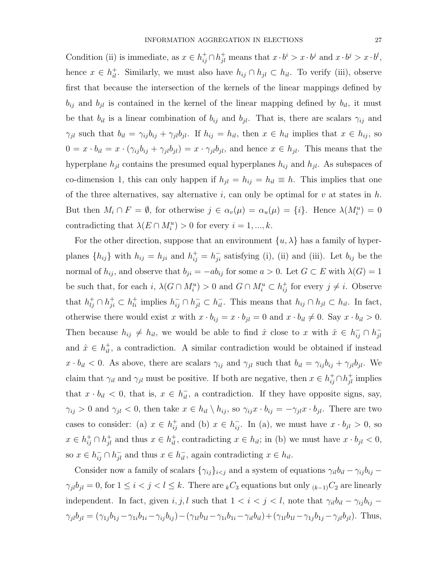Condition (ii) is immediate, as  $x \in h_{ij}^+ \cap h_{jl}^+$  means that  $x \cdot b^i > x \cdot b^j$  and  $x \cdot b^j > x \cdot b^l$ , hence  $x \in h_{il}^+$ . Similarly, we must also have  $h_{ij} \cap h_{jl} \subset h_{il}$ . To verify (iii), observe first that because the intersection of the kernels of the linear mappings defined by  $b_{ij}$  and  $b_{il}$  is contained in the kernel of the linear mapping defined by  $b_{il}$ , it must be that  $b_{il}$  is a linear combination of  $b_{ij}$  and  $b_{jl}$ . That is, there are scalars  $\gamma_{ij}$  and  $\gamma_{jl}$  such that  $b_{il} = \gamma_{ij} b_{ij} + \gamma_{jl} b_{jl}$ . If  $h_{ij} = h_{il}$ , then  $x \in h_{il}$  implies that  $x \in h_{ij}$ , so  $0 = x \cdot b_{il} = x \cdot (\gamma_{ij} b_{ij} + \gamma_{jl} b_{jl}) = x \cdot \gamma_{jl} b_{jl}$ , and hence  $x \in h_{jl}$ . This means that the hyperplane  $h_{jl}$  contains the presumed equal hyperplanes  $h_{ij}$  and  $h_{jl}$ . As subspaces of co-dimension 1, this can only happen if  $h_{jl} = h_{ij} = h_{il} \equiv h$ . This implies that one of the three alternatives, say alternative i, can only be optimal for v at states in  $h$ . But then  $M_i \cap F = \emptyset$ , for otherwise  $j \in \alpha_v(\mu) = \alpha_u(\mu) = \{i\}$ . Hence  $\lambda(M_i^u) = 0$ contradicting that  $\lambda(E \cap M_i^u) > 0$  for every  $i = 1, ..., k$ .

For the other direction, suppose that an environment  $\{u, \lambda\}$  has a family of hyperplanes  $\{h_{ij}\}\$  with  $h_{ij} = h_{ji}$  and  $h_{ij}^+ = h_{ji}^-$  satisfying (i), (ii) and (iii). Let  $b_{ij}$  be the normal of  $h_{ij}$ , and observe that  $b_{ji} = -ab_{ij}$  for some  $a > 0$ . Let  $G \subset E$  with  $\lambda(G) = 1$ be such that, for each i,  $\lambda(G \cap M_i^u) > 0$  and  $G \cap M_i^u \subset h_{ij}^+$  for every  $j \neq i$ . Observe that  $h_{lj}^+\cap h_{ji}^+\subset h_{li}^+\text{ implies }h_{ij}^-\cap h_{jl}^-\subset h_{il}^-\text{. This means that }h_{ij}\cap h_{jl}\subset h_{il}$ . In fact, otherwise there would exist x with  $x \cdot b_{ij} = x \cdot b_{jl} = 0$  and  $x \cdot b_{il} \neq 0$ . Say  $x \cdot b_{il} > 0$ . Then because  $h_{ij} \neq h_{il}$ , we would be able to find  $\hat{x}$  close to x with  $\hat{x} \in h_{ij}^- \cap h_{jl}^$ jl and  $\hat{x} \in h_{il}^{+}$ , a contradiction. A similar contradiction would be obtained if instead  $x \cdot b_{il} < 0$ . As above, there are scalars  $\gamma_{ij}$  and  $\gamma_{jl}$  such that  $b_{il} = \gamma_{ij}b_{ij} + \gamma_{jl}b_{jl}$ . We claim that  $\gamma_{il}$  and  $\gamma_{jl}$  must be positive. If both are negative, then  $x \in h_{ij}^+ \cap h_{jl}^+$  implies that  $x \cdot b_{il} < 0$ , that is,  $x \in h_{il}^-$ , a contradiction. If they have opposite signs, say,  $\gamma_{ij} > 0$  and  $\gamma_{jl} < 0$ , then take  $x \in h_{il} \setminus h_{ij}$ , so  $\gamma_{ij} x \cdot b_{ij} = -\gamma_{jl} x \cdot b_{jl}$ . There are two cases to consider: (a)  $x \in h_{ij}^+$  and (b)  $x \in h_{ij}^-$ . In (a), we must have  $x \cdot b_{jl} > 0$ , so  $x \in h_{ij}^+ \cap h_{jl}^+$  and thus  $x \in h_{il}^+$ , contradicting  $x \in h_{il}$ ; in (b) we must have  $x \cdot b_{jl} < 0$ , so  $x \in h_{ij}^- \cap h_{jl}^-$  and thus  $x \in h_{il}^-$ , again contradicting  $x \in h_{il}$ .

Consider now a family of scalars  $\{\gamma_{ij}\}_{i\leq j}$  and a system of equations  $\gamma_{il}b_{il} - \gamma_{ij}b_{ij}$  –  $\gamma_{jl}b_{jl} = 0$ , for  $1 \le i < j < l \le k$ . There are  $_kC_3$  equations but only  $_{(k-1)}C_2$  are linearly independent. In fact, given  $i, j, l$  such that  $1 < i < j < l$ , note that  $\gamma_{il}b_{il} - \gamma_{ij}b_{ij}$  $\gamma_{jl}b_{jl} = (\gamma_{1j}b_{1j} - \gamma_{1i}b_{1i} - \gamma_{ij}b_{ij}) - (\gamma_{1l}b_{1l} - \gamma_{1i}b_{1i} - \gamma_{il}b_{il}) + (\gamma_{1l}b_{1l} - \gamma_{1j}b_{1j} - \gamma_{jl}b_{jl}).$  Thus,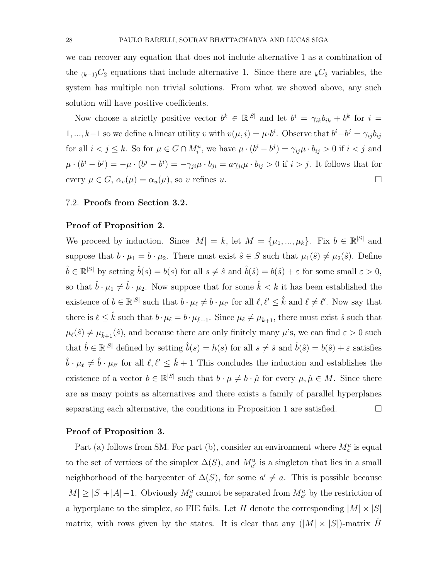we can recover any equation that does not include alternative 1 as a combination of the  $_{(k-1)}C_2$  equations that include alternative 1. Since there are  $_kC_2$  variables, the system has multiple non trivial solutions. From what we showed above, any such solution will have positive coefficients.

Now choose a strictly positive vector  $b^k \in \mathbb{R}^{|S|}$  and let  $b^i = \gamma_{ik}b_{ik} + b^k$  for  $i =$ 1, ..., k-1 so we define a linear utility v with  $v(\mu, i) = \mu \cdot b^i$ . Observe that  $b^i - b^j = \gamma_{ij} b_{ij}$ for all  $i < j \leq k$ . So for  $\mu \in G \cap M_i^u$ , we have  $\mu \cdot (b^i - b^j) = \gamma_{ij} \mu \cdot b_{ij} > 0$  if  $i < j$  and  $\mu \cdot (b^i - b^j) = -\mu \cdot (b^j - b^i) = -\gamma_{ji}\mu \cdot b_{ji} = a\gamma_{ji}\mu \cdot b_{ij} > 0$  if  $i > j$ . It follows that for every  $\mu \in G$ ,  $\alpha_v(\mu) = \alpha_u(\mu)$ , so v refines u.

# 7.2. Proofs from Section 3.2.

#### Proof of Proposition 2.

We proceed by induction. Since  $|M| = k$ , let  $M = {\mu_1, ..., \mu_k}$ . Fix  $b \in \mathbb{R}^{|S|}$  and suppose that  $b \cdot \mu_1 = b \cdot \mu_2$ . There must exist  $\hat{s} \in S$  such that  $\mu_1(\hat{s}) \neq \mu_2(\hat{s})$ . Define  $\hat{b} \in \mathbb{R}^{|S|}$  by setting  $\hat{b}(s) = b(s)$  for all  $s \neq \hat{s}$  and  $\hat{b}(\hat{s}) = b(\hat{s}) + \varepsilon$  for some small  $\varepsilon > 0$ , so that  $\hat{b} \cdot \mu_1 \neq \hat{b} \cdot \mu_2$ . Now suppose that for some  $\hat{k} < k$  it has been established the existence of  $b \in \mathbb{R}^{|S|}$  such that  $b \cdot \mu_{\ell} \neq b \cdot \mu_{\ell'}$  for all  $\ell, \ell' \leq \hat{k}$  and  $\ell \neq \ell'$ . Now say that there is  $\ell \leq \hat{k}$  such that  $b \cdot \mu_{\ell} = b \cdot \mu_{\hat{k}+1}$ . Since  $\mu_{\ell} \neq \mu_{\hat{k}+1}$ , there must exist  $\hat{s}$  such that  $\mu_{\ell}(\hat{s}) \neq \mu_{\hat{k}+1}(\hat{s})$ , and because there are only finitely many  $\mu$ 's, we can find  $\varepsilon > 0$  such that  $\hat{b} \in \mathbb{R}^{|S|}$  defined by setting  $\hat{b}(s) = h(s)$  for all  $s \neq \hat{s}$  and  $\hat{b}(\hat{s}) = b(\hat{s}) + \varepsilon$  satisfies  $\hat{b} \cdot \mu_{\ell} \neq \hat{b} \cdot \mu_{\ell'}$  for all  $\ell, \ell' \leq \hat{k} + 1$  This concludes the induction and establishes the existence of a vector  $b \in \mathbb{R}^{|S|}$  such that  $b \cdot \mu \neq b \cdot \hat{\mu}$  for every  $\mu, \hat{\mu} \in M$ . Since there are as many points as alternatives and there exists a family of parallel hyperplanes separating each alternative, the conditions in Proposition 1 are satisfied.  $\Box$ 

# Proof of Proposition 3.

Part (a) follows from SM. For part (b), consider an environment where  $M_a^u$  is equal to the set of vertices of the simplex  $\Delta(S)$ , and  $M_{a'}^u$  is a singleton that lies in a small neighborhood of the barycenter of  $\Delta(S)$ , for some  $a' \neq a$ . This is possible because  $|M| \geq |S| + |A| - 1$ . Obviously  $M_a^u$  cannot be separated from  $M_{a'}^u$  by the restriction of a hyperplane to the simplex, so FIE fails. Let H denote the corresponding  $|M| \times |S|$ matrix, with rows given by the states. It is clear that any  $(|M| \times |S|)$ -matrix H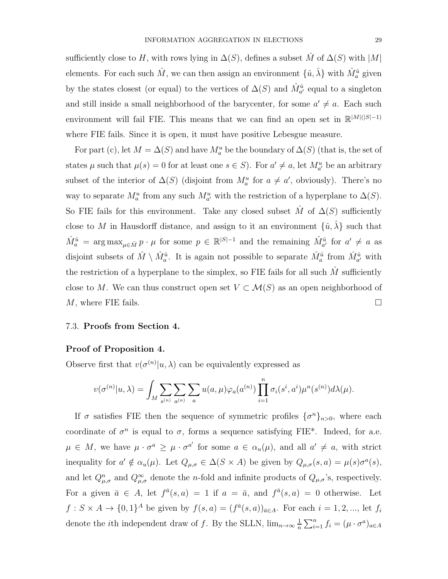sufficiently close to H, with rows lying in  $\Delta(S)$ , defines a subset M of  $\Delta(S)$  with  $|M|$ elements. For each such  $\hat{M}$ , we can then assign an environment  $\{\hat{u}, \hat{\lambda}\}$  with  $\hat{M}_a^{\hat{u}}$  given by the states closest (or equal) to the vertices of  $\Delta(S)$  and  $\hat{M}^{\hat{u}}_{a'}$  equal to a singleton and still inside a small neighborhood of the barycenter, for some  $a' \neq a$ . Each such environment will fail FIE. This means that we can find an open set in  $\mathbb{R}^{|M|(|S|-1)}$ where FIE fails. Since it is open, it must have positive Lebesgue measure.

For part (c), let  $M = \Delta(S)$  and have  $M_a^u$  be the boundary of  $\Delta(S)$  (that is, the set of states  $\mu$  such that  $\mu(s) = 0$  for at least one  $s \in S$ ). For  $a' \neq a$ , let  $M_{a'}^u$  be an arbitrary subset of the interior of  $\Delta(S)$  (disjoint from  $M_a^u$  for  $a \neq a'$ , obviously). There's no way to separate  $M_a^u$  from any such  $M_{a'}^u$  with the restriction of a hyperplane to  $\Delta(S)$ . So FIE fails for this environment. Take any closed subset  $\hat{M}$  of  $\Delta(S)$  sufficiently close to M in Hausdorff distance, and assign to it an environment  $\{\hat{u}, \hat{\lambda}\}\$  such that  $\hat{M}_a^{\hat{u}} = \arg \max_{\mu \in \hat{M}} p \cdot \mu$  for some  $p \in \mathbb{R}^{|S|-1}$  and the remaining  $\hat{M}_{a'}^{\hat{u}}$  for  $a' \neq a$  as disjoint subsets of  $\hat{M} \setminus \hat{M}_a^{\hat{u}}$ . It is again not possible to separate  $\hat{M}_a^{\hat{u}}$  from  $\hat{M}_{a'}^{\hat{u}}$  with the restriction of a hyperplane to the simplex, so  $\overline{FIE}$  fails for all such M sufficiently close to M. We can thus construct open set  $V \subset \mathcal{M}(S)$  as an open neighborhood of  $M$ , where FIE fails.

# 7.3. Proofs from Section 4.

# Proof of Proposition 4.

Observe first that  $v(\sigma^{(n)}|u,\lambda)$  can be equivalently expressed as

$$
v(\sigma^{(n)}|u,\lambda)=\int_M\sum_{s^{(n)}}\sum_{a^{(n)}}\sum_a u(a,\mu)\varphi_a(a^{(n)})\prod_{i=1}^n\sigma_i(s^i,a^i)\mu^n(s^{(n)})d\lambda(\mu).
$$

If  $\sigma$  satisfies FIE then the sequence of symmetric profiles  $\{\sigma^n\}_{n>0}$ , where each coordinate of  $\sigma^n$  is equal to  $\sigma$ , forms a sequence satisfying FIE<sup>\*</sup>. Indeed, for a.e.  $\mu \in M$ , we have  $\mu \cdot \sigma^a \geq \mu \cdot \sigma^{a'}$  for some  $a \in \alpha_u(\mu)$ , and all  $a' \neq a$ , with strict inequality for  $a' \notin \alpha_u(\mu)$ . Let  $Q_{\mu,\sigma} \in \Delta(S \times A)$  be given by  $Q_{\mu,\sigma}(s, a) = \mu(s)\sigma^a(s)$ , and let  $Q_{\mu,\sigma}^n$  and  $Q_{\mu,\sigma}^{\infty}$  denote the *n*-fold and infinite products of  $Q_{\mu,\sigma}$ 's, respectively. For a given  $\bar{a} \in A$ , let  $f^{\bar{a}}(s, a) = 1$  if  $a = \bar{a}$ , and  $f^{\bar{a}}(s, a) = 0$  otherwise. Let  $f: S \times A \rightarrow \{0,1\}^A$  be given by  $f(s, a) = (f^{\bar{a}}(s, a))_{\bar{a} \in A}$ . For each  $i = 1, 2, ...,$  let  $f_i$ denote the *i*th independent draw of f. By the SLLN,  $\lim_{n\to\infty} \frac{1}{n}$  $\frac{1}{n}\sum_{i=1}^n f_i = (\mu \cdot \sigma^a)_{a \in A}$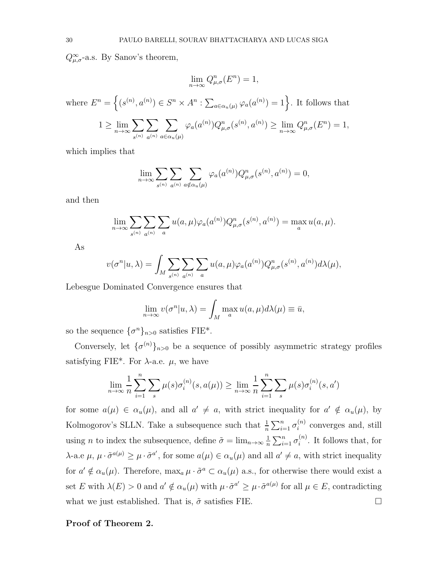$Q^{\infty}_{\mu,\sigma}$ -a.s. By Sanov's theorem,

 $s^{(n)}$ 

 $a^{(n)}$ 

 $a \in \alpha_u(\mu)$ 

$$
\lim_{n \to \infty} Q_{\mu,\sigma}^n(E^n) = 1,
$$

where  $E^n = \left\{ (s^{(n)}, a^{(n)}) \in S^n \times A^n : \sum_{a \in \alpha_u(\mu)} \varphi_a(a^{(n)}) = 1 \right\}$ . It follows that  $1 \geq \lim_{n \to \infty} \sum_{n}$  $\sum$  $\sum$  $\varphi_a(a^{(n)})Q_{\mu,\sigma}^n(s^{(n)},a^{(n)}) \ge \lim_{n\to\infty}Q_{\mu,\sigma}^n(E^n) = 1,$ 

which implies that

$$
\lim_{n \to \infty} \sum_{s^{(n)}} \sum_{a^{(n)}} \sum_{a \notin \alpha_u(\mu)} \varphi_a(a^{(n)}) Q_{\mu, \sigma}^n(s^{(n)}, a^{(n)}) = 0,
$$

and then

$$
\lim_{n\to\infty}\sum_{s^{(n)}}\sum_{a^{(n)}}\sum_{a}u(a,\mu)\varphi_a(a^{(n)})Q^n_{\mu,\sigma}(s^{(n)},a^{(n)})=\max_a u(a,\mu).
$$

As

$$
v(\sigma^n|u,\lambda) = \int_M \sum_{s^{(n)}} \sum_{a^{(n)}} \sum_a u(a,\mu) \varphi_a(a^{(n)}) Q_{\mu,\sigma}^n(s^{(n)},a^{(n)}) d\lambda(\mu),
$$

Lebesgue Dominated Convergence ensures that

$$
\lim_{n \to \infty} v(\sigma^n | u, \lambda) = \int_M \max_a u(a, \mu) d\lambda(\mu) \equiv \bar{u},
$$

so the sequence  $\{\sigma^n\}_{n>0}$  satisfies FIE<sup>\*</sup>.

Conversely, let  $\{\sigma^{(n)}\}_{n>0}$  be a sequence of possibly asymmetric strategy profiles satisfying FIE\*. For  $\lambda$ -a.e.  $\mu$ , we have

$$
\lim_{n \to \infty} \frac{1}{n} \sum_{i=1}^{n} \sum_{s} \mu(s) \sigma_i^{(n)}(s, a(\mu)) \ge \lim_{n \to \infty} \frac{1}{n} \sum_{i=1}^{n} \sum_{s} \mu(s) \sigma_i^{(n)}(s, a')
$$

for some  $a(\mu) \in \alpha_u(\mu)$ , and all  $a' \neq a$ , with strict inequality for  $a' \notin \alpha_u(\mu)$ , by Kolmogorov's SLLN. Take a subsequence such that  $\frac{1}{n} \sum_{i=1}^{n} \sigma_i^{(n)}$  $i^{(n)}$  converges and, still using *n* to index the subsequence, define  $\tilde{\sigma} = \lim_{n \to \infty} \frac{1}{n}$  $\frac{1}{n}\sum_{i=1}^n \sigma_i^{(n)}$  $i^{(n)}$ . It follows that, for  $\lambda$ -a.e μ,  $\mu \cdot \tilde{\sigma}^{a(\mu)} \geq \mu \cdot \tilde{\sigma}^{a'}$ , for some  $a(\mu) \in \alpha_u(\mu)$  and all  $a' \neq a$ , with strict inequality for  $a' \notin \alpha_u(\mu)$ . Therefore,  $\max_a \mu \cdot \tilde{\sigma}^a \subset \alpha_u(\mu)$  a.s., for otherwise there would exist a set E with  $\lambda(E) > 0$  and  $a' \notin \alpha_u(\mu)$  with  $\mu \cdot \tilde{\sigma}^{a'} \geq \mu \cdot \tilde{\sigma}^{a(\mu)}$  for all  $\mu \in E$ , contradicting what we just established. That is,  $\tilde{\sigma}$  satisfies FIE.

# Proof of Theorem 2.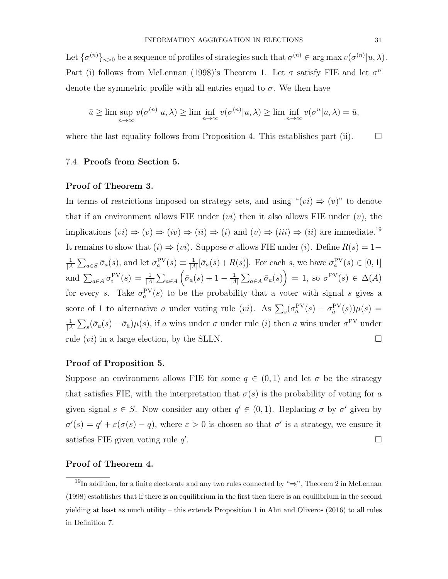Let  $\{\sigma^{(n)}\}_{n>0}$  be a sequence of profiles of strategies such that  $\sigma^{(n)} \in \arg \max v(\sigma^{(n)}|u, \lambda)$ . Part (i) follows from McLennan (1998)'s Theorem 1. Let  $\sigma$  satisfy FIE and let  $\sigma^n$ denote the symmetric profile with all entries equal to  $\sigma$ . We then have

$$
\bar{u} \ge \limsup_{n \to \infty} v(\sigma^{(n)} | u, \lambda) \ge \liminf_{n \to \infty} v(\sigma^{(n)} | u, \lambda) \ge \liminf_{n \to \infty} v(\sigma^{(n)} | u, \lambda) = \bar{u},
$$

where the last equality follows from Proposition 4. This establishes part (ii).  $\square$ 

## 7.4. Proofs from Section 5.

#### Proof of Theorem 3.

In terms of restrictions imposed on strategy sets, and using " $(vi) \Rightarrow (v)$ " to denote that if an environment allows FIE under  $(vi)$  then it also allows FIE under  $(v)$ , the implications  $(vi) \Rightarrow (v) \Rightarrow (iv) \Rightarrow (ii) \Rightarrow (i)$  and  $(v) \Rightarrow (iii) \Rightarrow (ii)$  are immediate.<sup>19</sup> It remains to show that  $(i) \Rightarrow (vi)$ . Suppose  $\sigma$  allows FIE under  $(i)$ . Define  $R(s) = 1$ – 1  $\frac{1}{|A|}\sum_{a\in S}\bar{\sigma}_a(s)$ , and let  $\sigma_a^{\text{PV}}(s) \equiv \frac{1}{|A|}$  $\frac{1}{|A|}[\bar{\sigma}_a(s)+R(s)]$ . For each s, we have  $\sigma_a^{\text{PV}}(s) \in [0,1]$ and  $\sum_{a\in A}\sigma_i^{PV}(s) = \frac{1}{|A|}\sum_{a\in A} (\bar{\sigma}_a(s) + 1 - \frac{1}{|A|})$  $\frac{1}{|A|}\sum_{a\in A}\bar{\sigma}_a(s)\Big)=1$ , so  $\sigma^{\text{PV}}(s)\in\Delta(A)$ for every s. Take  $\sigma_a^{\text{PV}}(s)$  to be the probability that a voter with signal s gives a score of 1 to alternative a under voting rule (vi). As  $\sum_s(\sigma_a^{PV}(s) - \sigma_a^{PV}(s))\mu(s) =$ 1  $\frac{1}{|A|}\sum_s(\bar{\sigma}_a(s)-\bar{\sigma}_a)\mu(s)$ , if a wins under  $\sigma$  under rule (*i*) then a wins under  $\sigma^{\text{PV}}$  under rule  $(vi)$  in a large election, by the SLLN.

# Proof of Proposition 5.

Suppose an environment allows FIE for some  $q \in (0,1)$  and let  $\sigma$  be the strategy that satisfies FIE, with the interpretation that  $\sigma(s)$  is the probability of voting for a given signal  $s \in S$ . Now consider any other  $q' \in (0,1)$ . Replacing  $\sigma$  by  $\sigma'$  given by  $\sigma'(s) = q' + \varepsilon(\sigma(s) - q)$ , where  $\varepsilon > 0$  is chosen so that  $\sigma'$  is a strategy, we ensure it satisfies FIE given voting rule q' . В последните последните последните последните последните последните последните последните последните последн<br>В последните последните последните последните последните последните последните последните последните последнит

# Proof of Theorem 4.

 $19$ In addition, for a finite electorate and any two rules connected by " $\Rightarrow$ ", Theorem 2 in McLennan (1998) establishes that if there is an equilibrium in the first then there is an equilibrium in the second yielding at least as much utility – this extends Proposition 1 in Ahn and Oliveros (2016) to all rules in Definition 7.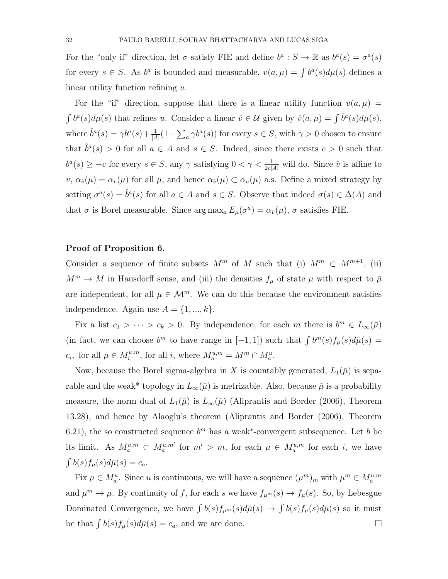For the "only if" direction, let  $\sigma$  satisfy FIE and define  $b^a : S \to \mathbb{R}$  as  $b^a(s) = \sigma^a(s)$ for every  $s \in S$ . As  $b^a$  is bounded and measurable,  $v(a,\mu) = \int b^a(s) d\mu(s)$  defines a linear utility function refining  $u$ .

For the "if" direction, suppose that there is a linear utility function  $v(a, \mu)$  =  $\int b^a(s)d\mu(s)$  that refines u. Consider a linear  $\hat{v} \in \mathcal{U}$  given by  $\hat{v}(a,\mu) = \int \hat{b}^a(s)d\mu(s)$ , where  $\hat{b}^a(s) = \gamma b^a(s) + \frac{1}{|A|}(1 - \sum_a \gamma b^a(s))$  for every  $s \in S$ , with  $\gamma > 0$  chosen to ensure that  $\hat{b}^a(s) > 0$  for all  $a \in A$  and  $s \in S$ . Indeed, since there exists  $c > 0$  such that  $b^a(s) \geq -c$  for every  $s \in S$ , any  $\gamma$  satisfying  $0 < \gamma < \frac{1}{2c|A|}$  will do. Since  $\hat{v}$  is affine to  $v, \alpha_{\hat{v}}(\mu) = \alpha_v(\mu)$  for all  $\mu$ , and hence  $\alpha_{\hat{v}}(\mu) \subset \alpha_u(\mu)$  a.s. Define a mixed strategy by setting  $\sigma^a(s) = \hat{b}^a(s)$  for all  $a \in A$  and  $s \in S$ . Observe that indeed  $\sigma(s) \in \Delta(A)$  and that  $\sigma$  is Borel measurable. Since  $\arg \max_a E_\mu(\sigma^a) = \alpha_{\hat{v}}(\mu)$ ,  $\sigma$  satisfies FIE.

#### Proof of Proposition 6.

Consider a sequence of finite subsets  $M^m$  of M such that (i)  $M^m \subset M^{m+1}$ , (ii)  $M^m \to M$  in Hausdorff sense, and (iii) the densities  $f_\mu$  of state  $\mu$  with respect to  $\bar{\mu}$ are independent, for all  $\mu \in \mathcal{M}^m$ . We can do this because the environment satisfies independence. Again use  $A = \{1, ..., k\}.$ 

Fix a list  $c_1 > \cdots > c_k > 0$ . By independence, for each m there is  $b^m \in L_\infty(\bar{\mu})$ (in fact, we can choose  $b^m$  to have range in [-1, 1]) such that  $\int b^m(s) f_\mu(s) d\bar{\mu}(s)$  =  $c_i$ , for all  $\mu \in M_i^{u,m}$ , for all i, where  $M_a^{u,m} = M^m \cap M_a^u$ .

Now, because the Borel sigma-algebra in X is countably generated,  $L_1(\bar{\mu})$  is separable and the weak\* topology in  $L_{\infty}(\bar{\mu})$  is metrizable. Also, because  $\bar{\mu}$  is a probability measure, the norm dual of  $L_1(\bar{\mu})$  is  $L_{\infty}(\bar{\mu})$  (Aliprantis and Border (2006), Theorem 13.28), and hence by Alaoglu's theorem (Aliprantis and Border (2006), Theorem 6.21), the so constructed sequence  $b<sup>m</sup>$  has a weak<sup>\*</sup>-convergent subsequence. Let b be its limit. As  $M_a^{u,m} \subset M_a^{u,m'}$  for  $m' > m$ , for each  $\mu \in M_a^{u,m}$  for each i, we have  $\int b(s)f_{\mu}(s)d\bar{\mu}(s) = c_a.$ 

Fix  $\mu \in M_a^u$ . Since u is continuous, we will have a sequence  $(\mu^m)_m$  with  $\mu^m \in M_a^{u,m}$ and  $\mu^m \to \mu$ . By continuity of f, for each s we have  $f_{\mu^m}(s) \to f_{\mu}(s)$ . So, by Lebesgue Dominated Convergence, we have  $\int b(s)f_{\mu^m}(s)d\bar{\mu}(s) \to \int b(s)f_{\mu}(s)d\bar{\mu}(s)$  so it must be that  $\int b(s)f_{\mu}(s)d\bar{\mu}(s) = c_a$ , and we are done.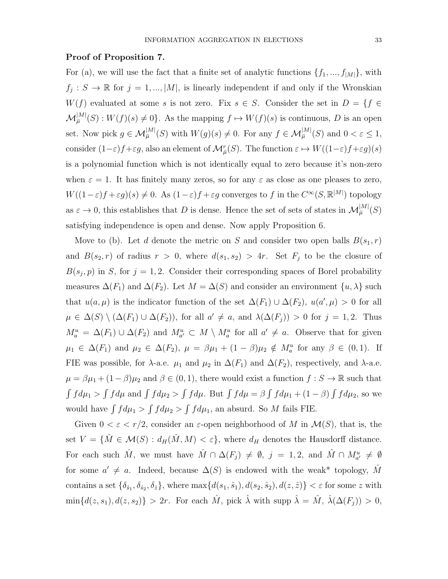#### Proof of Proposition 7.

For (a), we will use the fact that a finite set of analytic functions  $\{f_1, ..., f_{|M|}\}$ , with  $f_j: S \to \mathbb{R}$  for  $j = 1, ..., |M|$ , is linearly independent if and only if the Wronskian  $W(f)$  evaluated at some s is not zero. Fix  $s \in S$ . Consider the set in  $D = \{f \in$  $\mathcal{M}^{[M]}_{\overline{\mu}}(S):W(f)(s)\neq 0\}$ . As the mapping  $f\mapsto W(f)(s)$  is continuous, D is an open set. Now pick  $g \in \mathcal{M}_{\bar{\mu}}^{|M|}(S)$  with  $W(g)(s) \neq 0$ . For any  $f \in \mathcal{M}_{\bar{\mu}}^{|M|}(S)$  and  $0 < \varepsilon \leq 1$ , consider  $(1-\varepsilon)f + \varepsilon g$ , also an element of  $\mathcal{M}_{\bar{\mu}}^r(S)$ . The function  $\varepsilon \mapsto W((1-\varepsilon)f + \varepsilon g)(s)$ is a polynomial function which is not identically equal to zero because it's non-zero when  $\varepsilon = 1$ . It has finitely many zeros, so for any  $\varepsilon$  as close as one pleases to zero,  $W((1-\varepsilon)f + \varepsilon g)(s) \neq 0$ . As  $(1-\varepsilon)f + \varepsilon g$  converges to f in the  $C^{\infty}(S, \mathbb{R}^{|M|})$  topology as  $\varepsilon \to 0$ , this establishes that D is dense. Hence the set of sets of states in  $\mathcal{M}_{\bar{\mu}}^{|M|}(S)$ satisfying independence is open and dense. Now apply Proposition 6.

Move to (b). Let d denote the metric on S and consider two open balls  $B(s_1, r)$ and  $B(s_2, r)$  of radius  $r > 0$ , where  $d(s_1, s_2) > 4r$ . Set  $F_j$  to be the closure of  $B(s_j, p)$  in S, for  $j = 1, 2$ . Consider their corresponding spaces of Borel probability measures  $\Delta(F_1)$  and  $\Delta(F_2)$ . Let  $M = \Delta(S)$  and consider an environment  $\{u, \lambda\}$  such that  $u(a,\mu)$  is the indicator function of the set  $\Delta(F_1) \cup \Delta(F_2)$ ,  $u(a',\mu) > 0$  for all  $\mu \in \Delta(S) \setminus (\Delta(F_1) \cup \Delta(F_2))$ , for all  $a' \neq a$ , and  $\lambda(\Delta(F_j)) > 0$  for  $j = 1, 2$ . Thus  $M_a^u = \Delta(F_1) \cup \Delta(F_2)$  and  $M_{a'}^u \subset M \setminus M_a^u$  for all  $a' \neq a$ . Observe that for given  $\mu_1 \in \Delta(F_1)$  and  $\mu_2 \in \Delta(F_2)$ ,  $\mu = \beta \mu_1 + (1 - \beta) \mu_2 \notin M_a^u$  for any  $\beta \in (0, 1)$ . If FIE was possible, for  $\lambda$ -a.e.  $\mu_1$  and  $\mu_2$  in  $\Delta(F_1)$  and  $\Delta(F_2)$ , respectively, and  $\lambda$ -a.e.  $\mu = \beta \mu_1 + (1 - \beta) \mu_2$  and  $\beta \in (0, 1)$ , there would exist a function  $f : S \to \mathbb{R}$  such that  $\int f d\mu_1 > \int f d\mu$  and  $\int f d\mu_2 > \int f d\mu$ . But  $\int f d\mu = \beta \int f d\mu_1 + (1 - \beta) \int f d\mu_2$ , so we would have  $\int f d\mu_1 > \int f d\mu_2 > \int f d\mu_1$ , an absurd. So M fails FIE.

Given  $0 < \varepsilon < r/2$ , consider an  $\varepsilon$ -open neighborhood of M in  $\mathcal{M}(S)$ , that is, the set  $V = \{ \hat{M} \in \mathcal{M}(S) : d_H(\hat{M}, M) < \varepsilon \}$ , where  $d_H$  denotes the Hausdorff distance. For each such  $\hat{M}$ , we must have  $\hat{M} \cap \Delta(F_j) \neq \emptyset$ ,  $j = 1, 2$ , and  $\hat{M} \cap M_{a'}^u \neq \emptyset$ for some  $a' \neq a$ . Indeed, because  $\Delta(S)$  is endowed with the weak\* topology,  $\hat{M}$ contains a set  $\{\delta_{\hat{s}_1}, \delta_{\hat{s}_2}, \delta_{\hat{z}}\}$ , where  $\max\{d(s_1, \hat{s}_1), d(s_2, \hat{s}_2), d(z, \hat{z})\} < \varepsilon$  for some z with  $\min\{d(z,s_1), d(z,s_2)\} > 2r$ . For each  $\hat{M}$ , pick  $\hat{\lambda}$  with supp  $\hat{\lambda} = \hat{M}$ ,  $\hat{\lambda}(\Delta(F_j)) > 0$ ,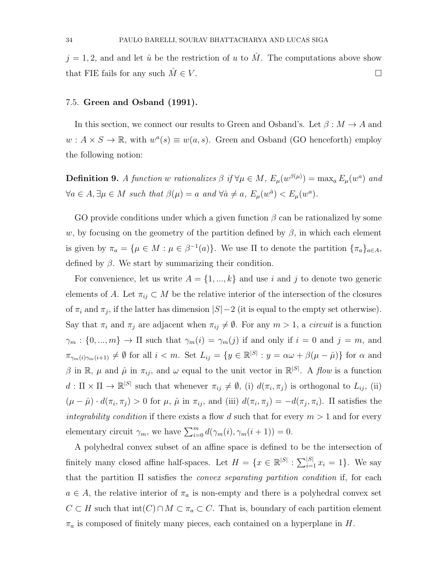$j = 1, 2$ , and and let  $\hat{u}$  be the restriction of u to  $\hat{M}$ . The computations above show that FIE fails for any such  $\tilde{M} \in V$ .

#### 7.5. Green and Osband (1991).

In this section, we connect our results to Green and Osband's. Let  $\beta : M \to A$  and  $w: A \times S \to \mathbb{R}$ , with  $w^a(s) \equiv w(a, s)$ . Green and Osband (GO henceforth) employ the following notion:

**Definition 9.** A function w rationalizes  $\beta$  if  $\forall \mu \in M$ ,  $E_{\mu}(w^{\beta(\mu)}) = \max_{a} E_{\mu}(w^a)$  and  $\forall a \in A, \exists \mu \in M \text{ such that } \beta(\mu) = a \text{ and } \forall \hat{a} \neq a, E_{\mu}(w^{\hat{a}}) < E_{\mu}(w^a).$ 

GO provide conditions under which a given function  $\beta$  can be rationalized by some w, by focusing on the geometry of the partition defined by  $\beta$ , in which each element is given by  $\pi_a = {\mu \in M : \mu \in \beta^{-1}(a)}$ . We use  $\Pi$  to denote the partition  ${\{\pi_a\}}_{a \in A}$ , defined by  $\beta$ . We start by summarizing their condition.

For convenience, let us write  $A = \{1, ..., k\}$  and use i and j to denote two generic elements of A. Let  $\pi_{ij} \subset M$  be the relative interior of the intersection of the closures of  $\pi_i$  and  $\pi_j$ , if the latter has dimension  $|S|-2$  (it is equal to the empty set otherwise). Say that  $\pi_i$  and  $\pi_j$  are adjacent when  $\pi_{ij} \neq \emptyset$ . For any  $m > 1$ , a *circuit* is a function  $\gamma_m : \{0, ..., m\} \to \Pi$  such that  $\gamma_m(i) = \gamma_m(j)$  if and only if  $i = 0$  and  $j = m$ , and  $\pi_{\gamma_m(i)\gamma_m(i+1)} \neq \emptyset$  for all  $i < m$ . Set  $L_{ij} = \{y \in \mathbb{R}^{|S|} : y = \alpha \omega + \beta(\mu - \hat{\mu})\}$  for  $\alpha$  and β in R,  $\mu$  and  $\hat{\mu}$  in  $\pi_{ij}$ , and  $\omega$  equal to the unit vector in R<sup>[S]</sup>. A flow is a function  $d: \Pi \times \Pi \to \mathbb{R}^{|S|}$  such that whenever  $\pi_{ij} \neq \emptyset$ , (i)  $d(\pi_i, \pi_j)$  is orthogonal to  $L_{ij}$ , (ii)  $(\mu - \hat{\mu}) \cdot d(\pi_i, \pi_j) > 0$  for  $\mu$ ,  $\hat{\mu}$  in  $\pi_{ij}$ , and (iii)  $d(\pi_i, \pi_j) = -d(\pi_j, \pi_i)$ . If satisfies the integrability condition if there exists a flow d such that for every  $m > 1$  and for every elementary circuit  $\gamma_m$ , we have  $\sum_{i=0}^m d(\gamma_m(i), \gamma_m(i + 1)) = 0$ .

A polyhedral convex subset of an affine space is defined to be the intersection of finitely many closed affine half-spaces. Let  $H = \{x \in \mathbb{R}^{|S|} : \sum_{i=1}^{|S|} x_i = 1\}$ . We say that the partition  $\Pi$  satisfies the *convex separating partition condition* if, for each  $a \in A$ , the relative interior of  $\pi_a$  is non-empty and there is a polyhedral convex set  $C \subset H$  such that  $\text{int}(C) \cap M \subset \pi_a \subset C$ . That is, boundary of each partition element  $\pi_a$  is composed of finitely many pieces, each contained on a hyperplane in H.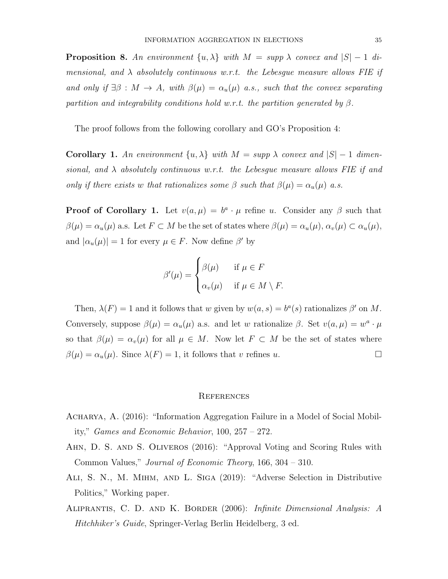**Proposition 8.** An environment  $\{u, \lambda\}$  with  $M = \text{supp } \lambda$  convex and  $|S| - 1$  dimensional, and  $\lambda$  absolutely continuous w.r.t. the Lebesgue measure allows FIE if and only if  $\exists \beta : M \to A$ , with  $\beta(\mu) = \alpha_u(\mu)$  a.s., such that the convex separating partition and integrability conditions hold w.r.t. the partition generated by  $\beta$ .

The proof follows from the following corollary and GO's Proposition 4:

**Corollary 1.** An environment  $\{u, \lambda\}$  with  $M = \text{supp } \lambda$  convex and  $|S| - 1$  dimensional, and  $\lambda$  absolutely continuous w.r.t. the Lebesgue measure allows FIE if and only if there exists w that rationalizes some  $\beta$  such that  $\beta(\mu) = \alpha_u(\mu)$  a.s.

**Proof of Corollary 1.** Let  $v(a, \mu) = b^a \cdot \mu$  refine u. Consider any  $\beta$  such that  $\beta(\mu) = \alpha_u(\mu)$  a.s. Let  $F \subset M$  be the set of states where  $\beta(\mu) = \alpha_u(\mu)$ ,  $\alpha_v(\mu) \subset \alpha_u(\mu)$ , and  $|\alpha_u(\mu)| = 1$  for every  $\mu \in F$ . Now define  $\beta'$  by

$$
\beta'(\mu) = \begin{cases} \beta(\mu) & \text{if } \mu \in F \\ \alpha_v(\mu) & \text{if } \mu \in M \setminus F. \end{cases}
$$

Then,  $\lambda(F) = 1$  and it follows that w given by  $w(a, s) = b^a(s)$  rationalizes  $\beta'$  on M. Conversely, suppose  $\beta(\mu) = \alpha_u(\mu)$  a.s. and let w rationalize  $\beta$ . Set  $v(a, \mu) = w^a \cdot \mu$ so that  $\beta(\mu) = \alpha_v(\mu)$  for all  $\mu \in M$ . Now let  $F \subset M$  be the set of states where  $\beta(\mu) = \alpha_u(\mu)$ . Since  $\lambda(F) = 1$ , it follows that v refines u.

#### **REFERENCES**

- Acharya, A. (2016): "Information Aggregation Failure in a Model of Social Mobility," Games and Economic Behavior, 100, 257 – 272.
- AHN, D. S. AND S. OLIVEROS (2016): "Approval Voting and Scoring Rules with Common Values," Journal of Economic Theory, 166, 304 – 310.
- Ali, S. N., M. Mihm, and L. Siga (2019): "Adverse Selection in Distributive Politics," Working paper.
- Aliprantis, C. D. and K. Border (2006): Infinite Dimensional Analysis: A Hitchhiker's Guide, Springer-Verlag Berlin Heidelberg, 3 ed.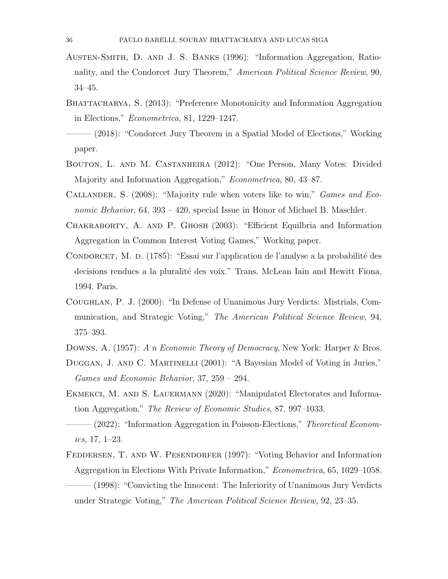- Austen-Smith, D. and J. S. Banks (1996): "Information Aggregation, Rationality, and the Condorcet Jury Theorem," American Political Science Review, 90, 34–45.
- BHATTACHARYA, S. (2013): "Preference Monotonicity and Information Aggregation in Elections," Econometrica, 81, 1229–1247.
- (2018): "Condorcet Jury Theorem in a Spatial Model of Elections," Working paper.
- Bouton, L. and M. Castanheira (2012): "One Person, Many Votes: Divided Majority and Information Aggregation," *Econometrica*, 80, 43–87.
- CALLANDER, S. (2008): "Majority rule when voters like to win," *Games and Eco*nomic Behavior, 64, 393 – 420, special Issue in Honor of Michael B. Maschler.
- Chakraborty, A. and P. Ghosh (2003): "Efficient Equilbria and Information Aggregation in Common Interest Voting Games," Working paper.
- CONDORCET, M. D. (1785): "Essai sur l'application de l'analyse a la probabilité des decisions rendues a la pluralité des voix." Trans. McLean Iain and Hewitt Fiona, 1994. Paris.
- Coughlan, P. J. (2000): "In Defense of Unanimous Jury Verdicts: Mistrials, Communication, and Strategic Voting," The American Political Science Review, 94, 375–393.
- DOWNS, A. (1957): A n Economic Theory of Democracy, New York: Harper & Bros.
- DUGGAN, J. AND C. MARTINELLI (2001): "A Bayesian Model of Voting in Juries," Games and Economic Behavior, 37, 259 – 294.
- EKMEKCI, M. AND S. LAUERMANN (2020): "Manipulated Electorates and Information Aggregation," The Review of Economic Studies, 87, 997–1033.
- $-$  (2022): "Information Aggregation in Poisson-Elections," Theoretical Economics, 17, 1–23.
- Feddersen, T. and W. Pesendorfer (1997): "Voting Behavior and Information Aggregation in Elections With Private Information," Econometrica, 65, 1029–1058. ——— (1998): "Convicting the Innocent: The Inferiority of Unanimous Jury Verdicts under Strategic Voting," The American Political Science Review, 92, 23–35.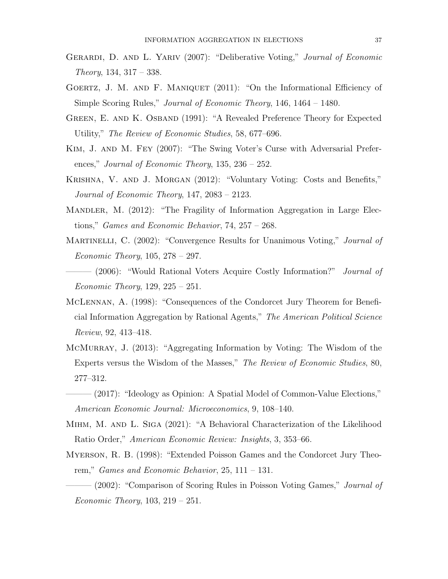- GERARDI, D. AND L. YARIV (2007): "Deliberative Voting," Journal of Economic Theory, 134, 317 – 338.
- Goertz, J. M. and F. Maniquet (2011): "On the Informational Efficiency of Simple Scoring Rules," Journal of Economic Theory, 146, 1464 – 1480.
- Green, E. and K. Osband (1991): "A Revealed Preference Theory for Expected Utility," The Review of Economic Studies, 58, 677–696.
- Kim, J. and M. Fey (2007): "The Swing Voter's Curse with Adversarial Preferences," Journal of Economic Theory,  $135$ ,  $236 - 252$ .
- Krishna, V. and J. Morgan (2012): "Voluntary Voting: Costs and Benefits," Journal of Economic Theory, 147, 2083 – 2123.
- Mandler, M. (2012): "The Fragility of Information Aggregation in Large Elections," *Games and Economic Behavior*,  $74$ ,  $257 - 268$ .
- MARTINELLI, C. (2002): "Convergence Results for Unanimous Voting," Journal of Economic Theory, 105, 278 – 297.
- —— (2006): "Would Rational Voters Acquire Costly Information?" *Journal of Economic Theory*,  $129, 225 - 251$ .
- McLennan, A. (1998): "Consequences of the Condorcet Jury Theorem for Beneficial Information Aggregation by Rational Agents," The American Political Science Review, 92, 413–418.
- McMurray, J. (2013): "Aggregating Information by Voting: The Wisdom of the Experts versus the Wisdom of the Masses," The Review of Economic Studies, 80, 277–312.
- $-$  (2017): "Ideology as Opinion: A Spatial Model of Common-Value Elections," American Economic Journal: Microeconomics, 9, 108–140.
- Mihm, M. and L. Siga (2021): "A Behavioral Characterization of the Likelihood Ratio Order," American Economic Review: Insights, 3, 353–66.
- Myerson, R. B. (1998): "Extended Poisson Games and the Condorcet Jury Theorem," Games and Economic Behavior,  $25$ ,  $111 - 131$ .
- ——— (2002): "Comparison of Scoring Rules in Poisson Voting Games," Journal of *Economic Theory*,  $103, 219 - 251$ .